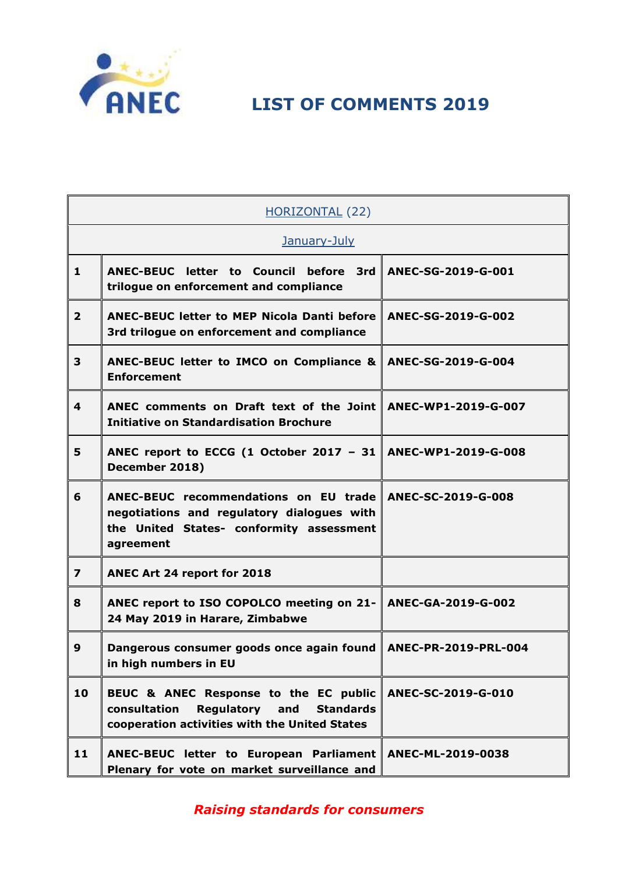

| <b>HORIZONTAL (22)</b>  |                                                                                                                                                     |                      |
|-------------------------|-----------------------------------------------------------------------------------------------------------------------------------------------------|----------------------|
| January-July            |                                                                                                                                                     |                      |
| $\mathbf{1}$            | <b>ANEC-BEUC</b><br>letter to Council<br>before<br>3rd<br>trilogue on enforcement and compliance                                                    | ANEC-SG-2019-G-001   |
| $\overline{2}$          | <b>ANEC-BEUC letter to MEP Nicola Danti before</b><br>3rd trilogue on enforcement and compliance                                                    | ANEC-SG-2019-G-002   |
| 3                       | ANEC-BEUC letter to IMCO on Compliance &<br><b>Enforcement</b>                                                                                      | ANEC-SG-2019-G-004   |
| 4                       | ANEC comments on Draft text of the Joint<br><b>Initiative on Standardisation Brochure</b>                                                           | ANEC-WP1-2019-G-007  |
| 5                       | ANEC report to ECCG (1 October 2017 - 31<br>December 2018)                                                                                          | ANEC-WP1-2019-G-008  |
| 6                       | ANEC-BEUC recommendations on EU trade<br>negotiations and regulatory dialogues with<br>the United States- conformity assessment<br>agreement        | ANEC-SC-2019-G-008   |
| $\overline{\mathbf{z}}$ | ANEC Art 24 report for 2018                                                                                                                         |                      |
| 8                       | ANEC report to ISO COPOLCO meeting on 21-<br>24 May 2019 in Harare, Zimbabwe                                                                        | ANEC-GA-2019-G-002   |
| 9                       | Dangerous consumer goods once again found<br>in high numbers in EU                                                                                  | ANEC-PR-2019-PRL-004 |
| 10                      | BEUC & ANEC Response to the EC public<br>consultation<br><b>Regulatory and</b><br><b>Standards</b><br>cooperation activities with the United States | ANEC-SC-2019-G-010   |
| 11                      | ANEC-BEUC letter to European Parliament<br>Plenary for vote on market surveillance and                                                              | ANEC-ML-2019-0038    |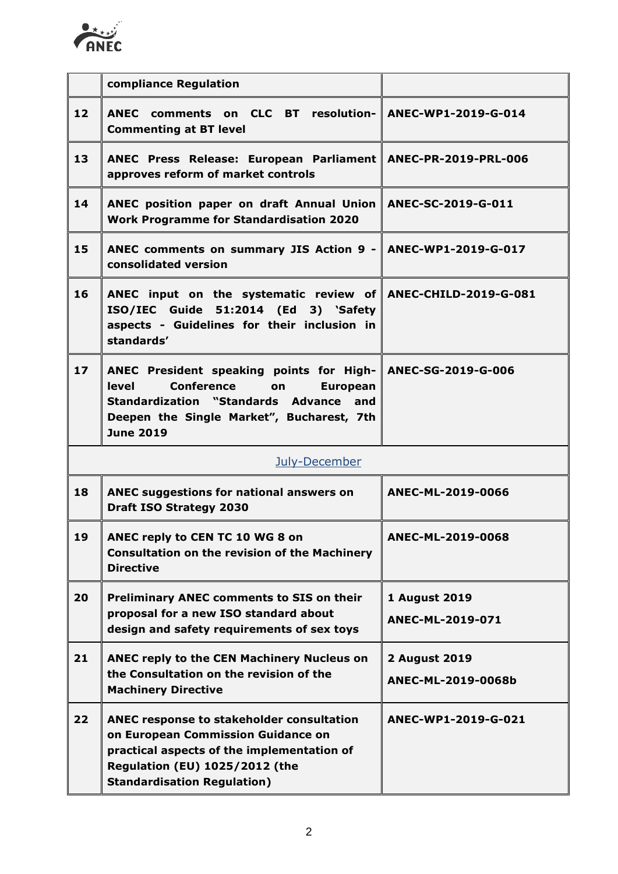

|                 | compliance Regulation                                                                                                                                                                                                                |                                            |
|-----------------|--------------------------------------------------------------------------------------------------------------------------------------------------------------------------------------------------------------------------------------|--------------------------------------------|
| 12              | ANEC comments on CLC BT resolution- ANEC-WP1-2019-G-014<br><b>Commenting at BT level</b>                                                                                                                                             |                                            |
| 13              | ANEC Press Release: European Parliament ANEC-PR-2019-PRL-006<br>approves reform of market controls                                                                                                                                   |                                            |
| 14              | ANEC position paper on draft Annual Union ANEC-SC-2019-G-011<br><b>Work Programme for Standardisation 2020</b>                                                                                                                       |                                            |
| 15              | ANEC comments on summary JIS Action 9 - $\parallel$ ANEC-WP1-2019-G-017<br>consolidated version                                                                                                                                      |                                            |
| 16              | ANEC input on the systematic review of ANEC-CHILD-2019-G-081<br>ISO/IEC Guide 51:2014 (Ed 3) 'Safety<br>aspects - Guidelines for their inclusion in<br>standards'                                                                    |                                            |
| 17 <sup>2</sup> | ANEC President speaking points for High- ANEC-SG-2019-G-006<br>level<br><b>Conference</b><br><b>European</b><br><b>on</b><br>Standardization "Standards Advance and<br>Deepen the Single Market", Bucharest, 7th<br><b>June 2019</b> |                                            |
|                 | July-December                                                                                                                                                                                                                        |                                            |
| 18              | ANEC suggestions for national answers on<br><b>Draft ISO Strategy 2030</b>                                                                                                                                                           | ANEC-ML-2019-0066                          |
| 19              | ANEC reply to CEN TC 10 WG 8 on<br><b>Consultation on the revision of the Machinery</b><br><b>Directive</b>                                                                                                                          | ANEC-ML-2019-0068                          |
| 20              | <b>Preliminary ANEC comments to SIS on their</b><br>proposal for a new ISO standard about<br>design and safety requirements of sex toys                                                                                              | <b>1 August 2019</b><br>ANEC-ML-2019-071   |
| 21              | ANEC reply to the CEN Machinery Nucleus on<br>the Consultation on the revision of the<br><b>Machinery Directive</b>                                                                                                                  | <b>2 August 2019</b><br>ANEC-ML-2019-0068b |
| 22              | ANEC response to stakeholder consultation<br>on European Commission Guidance on<br>practical aspects of the implementation of<br><b>Regulation (EU) 1025/2012 (the</b><br><b>Standardisation Regulation)</b>                         | ANEC-WP1-2019-G-021                        |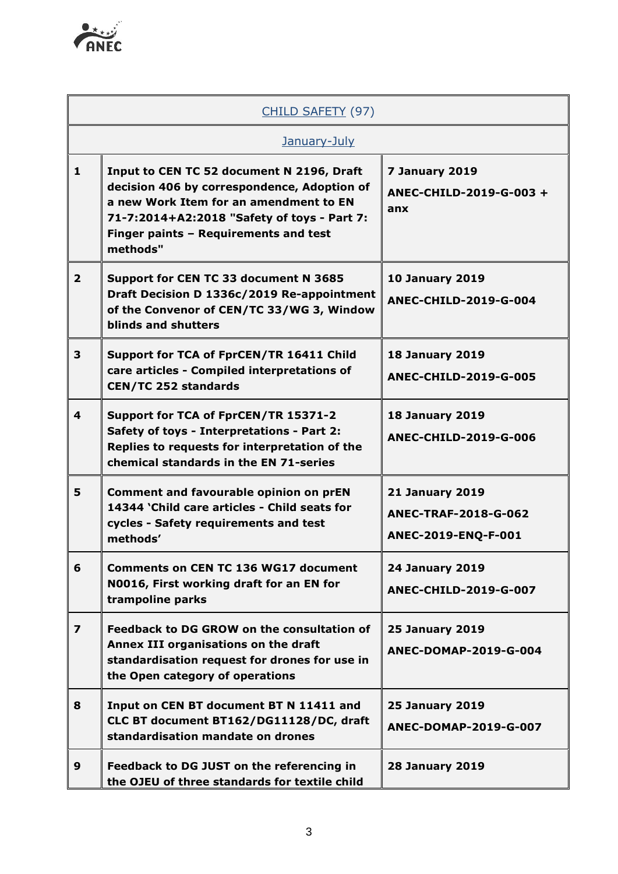

| CHILD SAFETY (97)       |                                                                                                                                                                                                                                        |                                                                              |  |
|-------------------------|----------------------------------------------------------------------------------------------------------------------------------------------------------------------------------------------------------------------------------------|------------------------------------------------------------------------------|--|
|                         | January-July                                                                                                                                                                                                                           |                                                                              |  |
| $\mathbf{1}$            | Input to CEN TC 52 document N 2196, Draft<br>decision 406 by correspondence, Adoption of<br>a new Work Item for an amendment to EN<br>71-7:2014+A2:2018 "Safety of toys - Part 7:<br>Finger paints - Requirements and test<br>methods" | 7 January 2019<br>ANEC-CHILD-2019-G-003 +<br>anx                             |  |
| $\overline{2}$          | Support for CEN TC 33 document N 3685<br>Draft Decision D 1336c/2019 Re-appointment<br>of the Convenor of CEN/TC 33/WG 3, Window<br>blinds and shutters                                                                                | <b>10 January 2019</b><br><b>ANEC-CHILD-2019-G-004</b>                       |  |
| 3                       | Support for TCA of FprCEN/TR 16411 Child<br>care articles - Compiled interpretations of<br><b>CEN/TC 252 standards</b>                                                                                                                 | <b>18 January 2019</b><br><b>ANEC-CHILD-2019-G-005</b>                       |  |
| 4                       | Support for TCA of FprCEN/TR 15371-2<br>Safety of toys - Interpretations - Part 2:<br>Replies to requests for interpretation of the<br>chemical standards in the EN 71-series                                                          | <b>18 January 2019</b><br><b>ANEC-CHILD-2019-G-006</b>                       |  |
| 5                       | <b>Comment and favourable opinion on prEN</b><br>14344 'Child care articles - Child seats for<br>cycles - Safety requirements and test<br>methods'                                                                                     | <b>21 January 2019</b><br><b>ANEC-TRAF-2018-G-062</b><br>ANEC-2019-ENQ-F-001 |  |
| 6                       | <b>Comments on CEN TC 136 WG17 document</b><br>N0016, First working draft for an EN for<br>trampoline parks                                                                                                                            | <b>24 January 2019</b><br>ANEC-CHILD-2019-G-007                              |  |
| $\overline{\mathbf{z}}$ | Feedback to DG GROW on the consultation of<br>Annex III organisations on the draft<br>standardisation request for drones for use in<br>the Open category of operations                                                                 | <b>25 January 2019</b><br>ANEC-DOMAP-2019-G-004                              |  |
| 8                       | Input on CEN BT document BT N 11411 and<br>CLC BT document BT162/DG11128/DC, draft<br>standardisation mandate on drones                                                                                                                | <b>25 January 2019</b><br>ANEC-DOMAP-2019-G-007                              |  |
| 9                       | Feedback to DG JUST on the referencing in<br>the OJEU of three standards for textile child                                                                                                                                             | <b>28 January 2019</b>                                                       |  |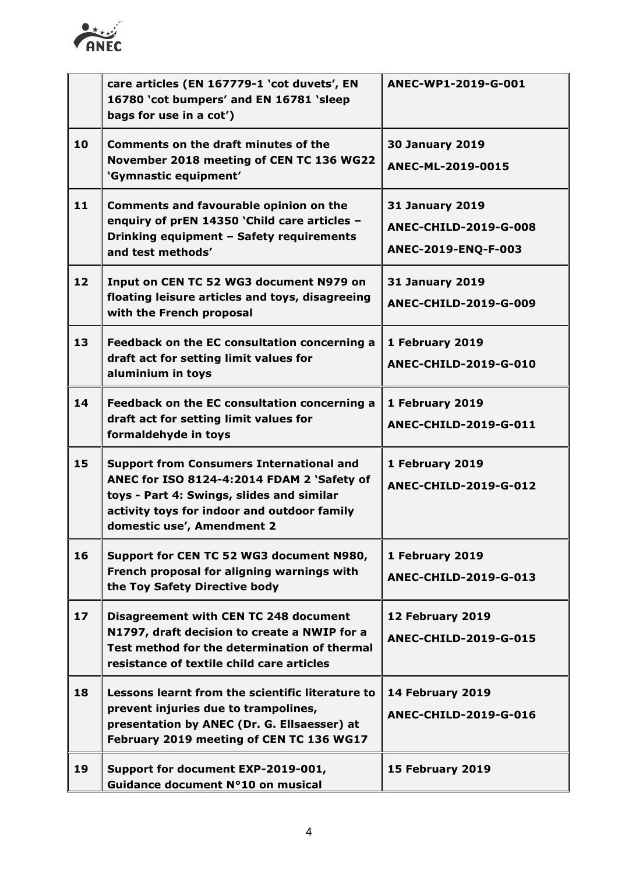

|                 | care articles (EN 167779-1 'cot duvets', EN<br>16780 'cot bumpers' and EN 16781 'sleep<br>bags for use in a cot')                                                                                                       | ANEC-WP1-2019-G-001                                                           |
|-----------------|-------------------------------------------------------------------------------------------------------------------------------------------------------------------------------------------------------------------------|-------------------------------------------------------------------------------|
| 10              | <b>Comments on the draft minutes of the</b><br>November 2018 meeting of CEN TC 136 WG22<br>'Gymnastic equipment'                                                                                                        | <b>30 January 2019</b><br>ANEC-ML-2019-0015                                   |
| 11              | <b>Comments and favourable opinion on the</b><br>enquiry of prEN 14350 'Child care articles -<br>Drinking equipment - Safety requirements<br>and test methods'                                                          | <b>31 January 2019</b><br><b>ANEC-CHILD-2019-G-008</b><br>ANEC-2019-ENQ-F-003 |
| 12              | Input on CEN TC 52 WG3 document N979 on<br>floating leisure articles and toys, disagreeing<br>with the French proposal                                                                                                  | <b>31 January 2019</b><br>ANEC-CHILD-2019-G-009                               |
| 13              | Feedback on the EC consultation concerning a<br>draft act for setting limit values for<br>aluminium in toys                                                                                                             | 1 February 2019<br><b>ANEC-CHILD-2019-G-010</b>                               |
| 14              | Feedback on the EC consultation concerning a<br>draft act for setting limit values for<br>formaldehyde in toys                                                                                                          | 1 February 2019<br><b>ANEC-CHILD-2019-G-011</b>                               |
| 15              | <b>Support from Consumers International and</b><br>ANEC for ISO 8124-4:2014 FDAM 2 'Safety of<br>toys - Part 4: Swings, slides and similar<br>activity toys for indoor and outdoor family<br>domestic use', Amendment 2 | 1 February 2019<br><b>ANEC-CHILD-2019-G-012</b>                               |
| 16              | Support for CEN TC 52 WG3 document N980,<br>French proposal for aligning warnings with<br>the Toy Safety Directive body                                                                                                 | 1 February 2019<br><b>ANEC-CHILD-2019-G-013</b>                               |
| 17 <sup>2</sup> | Disagreement with CEN TC 248 document<br>N1797, draft decision to create a NWIP for a<br>Test method for the determination of thermal<br>resistance of textile child care articles                                      | 12 February 2019<br><b>ANEC-CHILD-2019-G-015</b>                              |
| 18              | Lessons learnt from the scientific literature to<br>prevent injuries due to trampolines,<br>presentation by ANEC (Dr. G. Ellsaesser) at<br>February 2019 meeting of CEN TC 136 WG17                                     | 14 February 2019<br><b>ANEC-CHILD-2019-G-016</b>                              |
| 19              | Support for document EXP-2019-001,<br>Guidance document N°10 on musical                                                                                                                                                 | 15 February 2019                                                              |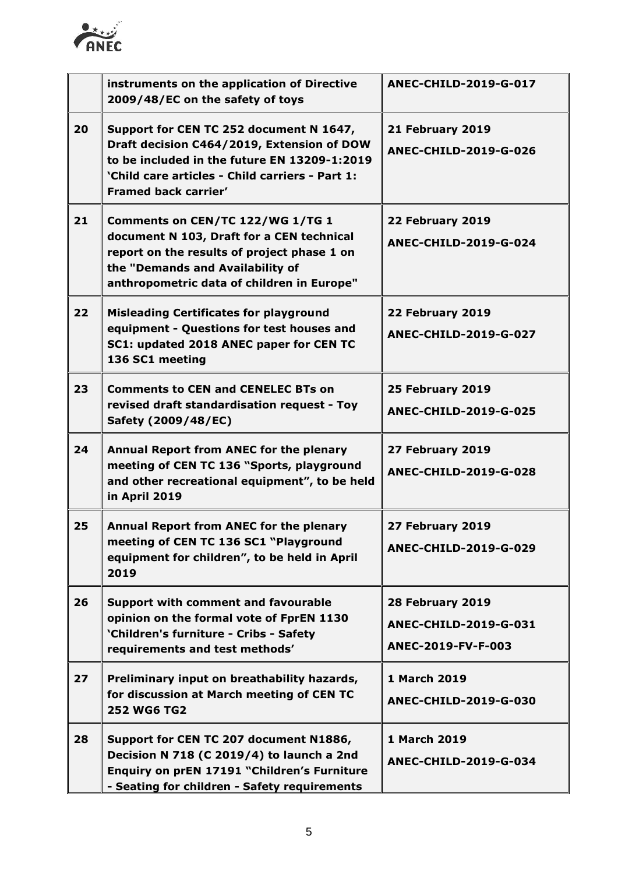

|    | instruments on the application of Directive<br>2009/48/EC on the safety of toys                                                                                                                                  | <b>ANEC-CHILD-2019-G-017</b>                                    |
|----|------------------------------------------------------------------------------------------------------------------------------------------------------------------------------------------------------------------|-----------------------------------------------------------------|
| 20 | Support for CEN TC 252 document N 1647,<br>Draft decision C464/2019, Extension of DOW<br>to be included in the future EN 13209-1:2019<br>'Child care articles - Child carriers - Part 1:<br>Framed back carrier' | 21 February 2019<br><b>ANEC-CHILD-2019-G-026</b>                |
| 21 | Comments on CEN/TC 122/WG 1/TG 1<br>document N 103, Draft for a CEN technical<br>report on the results of project phase 1 on<br>the "Demands and Availability of<br>anthropometric data of children in Europe"   | 22 February 2019<br><b>ANEC-CHILD-2019-G-024</b>                |
| 22 | <b>Misleading Certificates for playground</b><br>equipment - Questions for test houses and<br>SC1: updated 2018 ANEC paper for CEN TC<br>136 SC1 meeting                                                         | 22 February 2019<br><b>ANEC-CHILD-2019-G-027</b>                |
| 23 | <b>Comments to CEN and CENELEC BTs on</b><br>revised draft standardisation request - Toy<br>Safety (2009/48/EC)                                                                                                  | 25 February 2019<br><b>ANEC-CHILD-2019-G-025</b>                |
| 24 | Annual Report from ANEC for the plenary<br>meeting of CEN TC 136 "Sports, playground<br>and other recreational equipment", to be held<br>in April 2019                                                           | 27 February 2019<br><b>ANEC-CHILD-2019-G-028</b>                |
| 25 | Annual Report from ANEC for the plenary<br>meeting of CEN TC 136 SC1 "Playground<br>equipment for children", to be held in April<br>2019                                                                         | 27 February 2019<br>ANEC-CHILD-2019-G-029                       |
| 26 | <b>Support with comment and favourable</b><br>opinion on the formal vote of FprEN 1130<br>'Children's furniture - Cribs - Safety<br>requirements and test methods'                                               | 28 February 2019<br>ANEC-CHILD-2019-G-031<br>ANEC-2019-FV-F-003 |
| 27 | Preliminary input on breathability hazards,<br>for discussion at March meeting of CEN TC<br><b>252 WG6 TG2</b>                                                                                                   | 1 March 2019<br><b>ANEC-CHILD-2019-G-030</b>                    |
| 28 | Support for CEN TC 207 document N1886,<br>Decision N 718 (C 2019/4) to launch a 2nd<br>Enquiry on prEN 17191 "Children's Furniture<br>- Seating for children - Safety requirements                               | 1 March 2019<br><b>ANEC-CHILD-2019-G-034</b>                    |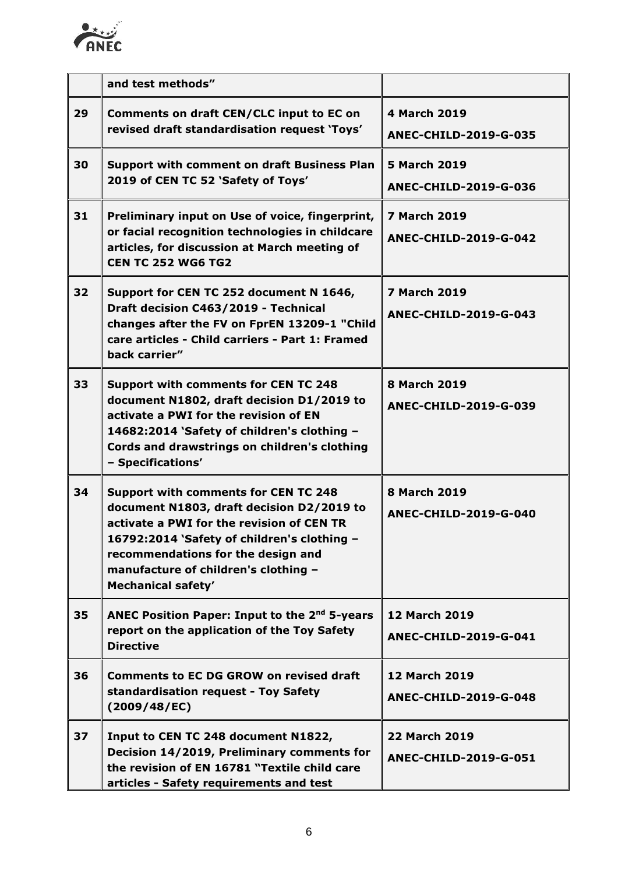

|    | and test methods"                                                                                                                                                                                                                                                                               |                                                      |
|----|-------------------------------------------------------------------------------------------------------------------------------------------------------------------------------------------------------------------------------------------------------------------------------------------------|------------------------------------------------------|
| 29 | Comments on draft CEN/CLC input to EC on<br>revised draft standardisation request 'Toys'                                                                                                                                                                                                        | 4 March 2019<br><b>ANEC-CHILD-2019-G-035</b>         |
| 30 | <b>Support with comment on draft Business Plan</b><br>2019 of CEN TC 52 'Safety of Toys'                                                                                                                                                                                                        | <b>5 March 2019</b><br><b>ANEC-CHILD-2019-G-036</b>  |
| 31 | Preliminary input on Use of voice, fingerprint,<br>or facial recognition technologies in childcare<br>articles, for discussion at March meeting of<br><b>CEN TC 252 WG6 TG2</b>                                                                                                                 | <b>7 March 2019</b><br><b>ANEC-CHILD-2019-G-042</b>  |
| 32 | Support for CEN TC 252 document N 1646,<br>Draft decision C463/2019 - Technical<br>changes after the FV on FprEN 13209-1 "Child<br>care articles - Child carriers - Part 1: Framed<br>back carrier"                                                                                             | <b>7 March 2019</b><br><b>ANEC-CHILD-2019-G-043</b>  |
| 33 | <b>Support with comments for CEN TC 248</b><br>document N1802, draft decision D1/2019 to<br>activate a PWI for the revision of EN<br>14682:2014 `Safety of children's clothing -<br>Cords and drawstrings on children's clothing<br>- Specifications'                                           | <b>8 March 2019</b><br><b>ANEC-CHILD-2019-G-039</b>  |
| 34 | <b>Support with comments for CEN TC 248</b><br>document N1803, draft decision D2/2019 to<br>activate a PWI for the revision of CEN TR<br>16792:2014 `Safety of children's clothing -<br>recommendations for the design and<br>manufacture of children's clothing -<br><b>Mechanical safety'</b> | <b>8 March 2019</b><br><b>ANEC-CHILD-2019-G-040</b>  |
| 35 | ANEC Position Paper: Input to the 2 <sup>nd</sup> 5-years<br>report on the application of the Toy Safety<br><b>Directive</b>                                                                                                                                                                    | <b>12 March 2019</b><br><b>ANEC-CHILD-2019-G-041</b> |
| 36 | <b>Comments to EC DG GROW on revised draft</b><br>standardisation request - Toy Safety<br>(2009/48/EC)                                                                                                                                                                                          | <b>12 March 2019</b><br><b>ANEC-CHILD-2019-G-048</b> |
| 37 | Input to CEN TC 248 document N1822,<br>Decision 14/2019, Preliminary comments for<br>the revision of EN 16781 "Textile child care<br>articles - Safety requirements and test                                                                                                                    | <b>22 March 2019</b><br><b>ANEC-CHILD-2019-G-051</b> |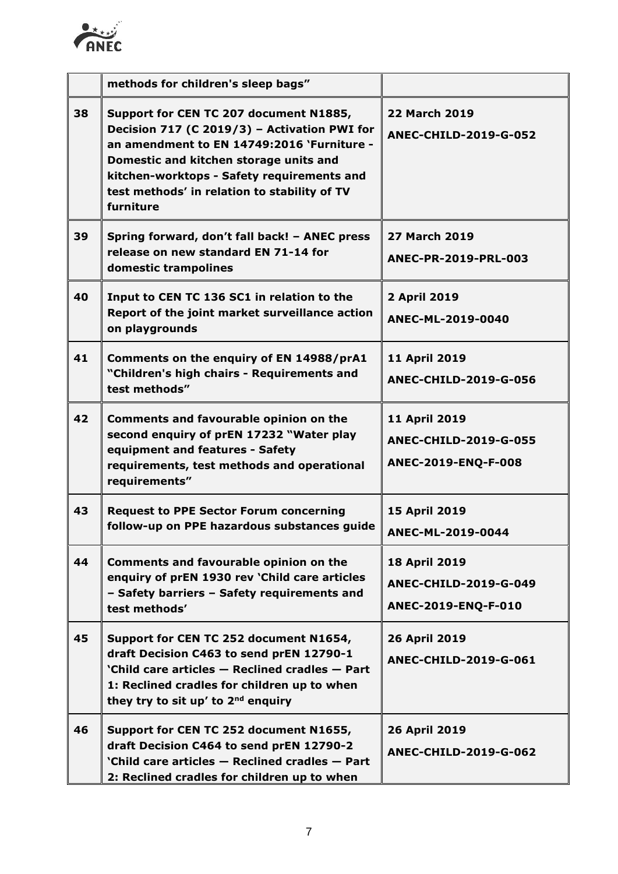

|    | methods for children's sleep bags"                                                                                                                                                                                                                                                        |                                                                      |
|----|-------------------------------------------------------------------------------------------------------------------------------------------------------------------------------------------------------------------------------------------------------------------------------------------|----------------------------------------------------------------------|
| 38 | Support for CEN TC 207 document N1885,<br>Decision 717 (C 2019/3) - Activation PWI for<br>an amendment to EN 14749:2016 `Furniture -<br>Domestic and kitchen storage units and<br>kitchen-worktops - Safety requirements and<br>test methods' in relation to stability of TV<br>furniture | <b>22 March 2019</b><br><b>ANEC-CHILD-2019-G-052</b>                 |
| 39 | Spring forward, don't fall back! - ANEC press<br>release on new standard EN 71-14 for<br>domestic trampolines                                                                                                                                                                             | <b>27 March 2019</b><br>ANEC-PR-2019-PRL-003                         |
| 40 | Input to CEN TC 136 SC1 in relation to the<br>Report of the joint market surveillance action<br>on playgrounds                                                                                                                                                                            | 2 April 2019<br>ANEC-ML-2019-0040                                    |
| 41 | Comments on the enquiry of EN 14988/prA1<br>"Children's high chairs - Requirements and<br>test methods"                                                                                                                                                                                   | 11 April 2019<br><b>ANEC-CHILD-2019-G-056</b>                        |
| 42 | Comments and favourable opinion on the<br>second enquiry of prEN 17232 "Water play<br>equipment and features - Safety<br>requirements, test methods and operational<br>requirements"                                                                                                      | 11 April 2019<br><b>ANEC-CHILD-2019-G-055</b><br>ANEC-2019-ENQ-F-008 |
| 43 | <b>Request to PPE Sector Forum concerning</b><br>follow-up on PPE hazardous substances guide                                                                                                                                                                                              | 15 April 2019<br>ANEC-ML-2019-0044                                   |
| 44 | <b>Comments and favourable opinion on the</b><br>enquiry of prEN 1930 rev 'Child care articles<br>- Safety barriers - Safety requirements and<br>test methods'                                                                                                                            | 18 April 2019<br><b>ANEC-CHILD-2019-G-049</b><br>ANEC-2019-ENQ-F-010 |
| 45 | Support for CEN TC 252 document N1654,<br>draft Decision C463 to send prEN 12790-1<br>'Child care articles - Reclined cradles - Part<br>1: Reclined cradles for children up to when<br>they try to sit up' to 2 <sup>nd</sup> enquiry                                                     | 26 April 2019<br><b>ANEC-CHILD-2019-G-061</b>                        |
| 46 | Support for CEN TC 252 document N1655,<br>draft Decision C464 to send prEN 12790-2<br>'Child care articles - Reclined cradles - Part<br>2: Reclined cradles for children up to when                                                                                                       | 26 April 2019<br><b>ANEC-CHILD-2019-G-062</b>                        |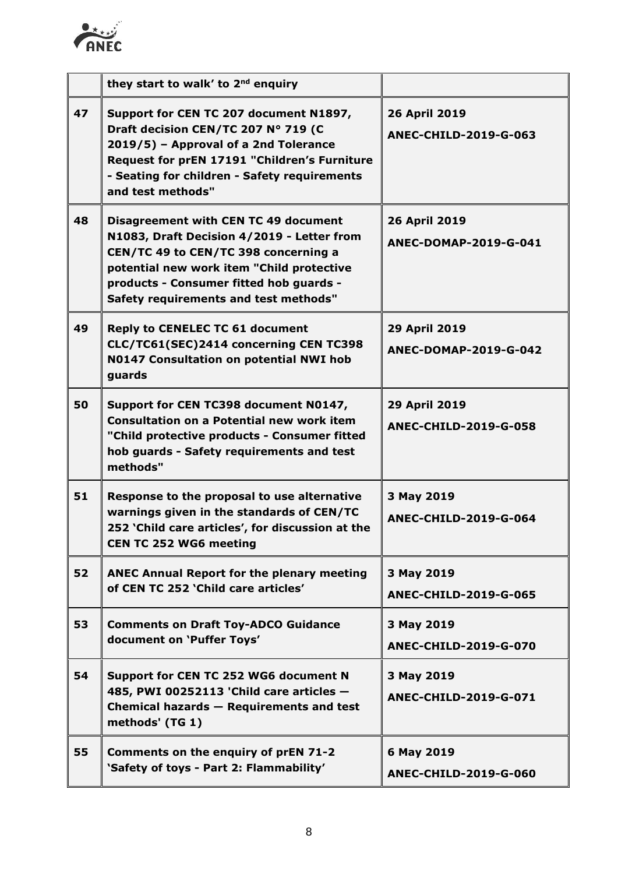

|    | they start to walk' to 2 <sup>nd</sup> enquiry                                                                                                                                                                                                              |                                               |
|----|-------------------------------------------------------------------------------------------------------------------------------------------------------------------------------------------------------------------------------------------------------------|-----------------------------------------------|
| 47 | Support for CEN TC 207 document N1897,<br>Draft decision CEN/TC 207 Nº 719 (C<br>2019/5) - Approval of a 2nd Tolerance<br>Request for prEN 17191 "Children's Furniture<br>- Seating for children - Safety requirements<br>and test methods"                 | 26 April 2019<br><b>ANEC-CHILD-2019-G-063</b> |
| 48 | Disagreement with CEN TC 49 document<br>N1083, Draft Decision 4/2019 - Letter from<br>CEN/TC 49 to CEN/TC 398 concerning a<br>potential new work item "Child protective<br>products - Consumer fitted hob guards -<br>Safety requirements and test methods" | 26 April 2019<br>ANEC-DOMAP-2019-G-041        |
| 49 | <b>Reply to CENELEC TC 61 document</b><br>CLC/TC61(SEC)2414 concerning CEN TC398<br>N0147 Consultation on potential NWI hob<br>guards                                                                                                                       | 29 April 2019<br>ANEC-DOMAP-2019-G-042        |
| 50 | Support for CEN TC398 document N0147,<br><b>Consultation on a Potential new work item</b><br>"Child protective products - Consumer fitted<br>hob guards - Safety requirements and test<br>methods"                                                          | 29 April 2019<br><b>ANEC-CHILD-2019-G-058</b> |
| 51 | Response to the proposal to use alternative<br>warnings given in the standards of CEN/TC<br>252 'Child care articles', for discussion at the<br><b>CEN TC 252 WG6 meeting</b>                                                                               | 3 May 2019<br><b>ANEC-CHILD-2019-G-064</b>    |
| 52 | <b>ANEC Annual Report for the plenary meeting</b><br>of CEN TC 252 'Child care articles'                                                                                                                                                                    | 3 May 2019<br><b>ANEC-CHILD-2019-G-065</b>    |
| 53 | <b>Comments on Draft Toy-ADCO Guidance</b><br>document on 'Puffer Toys'                                                                                                                                                                                     | 3 May 2019<br><b>ANEC-CHILD-2019-G-070</b>    |
| 54 | Support for CEN TC 252 WG6 document N<br>485, PWI 00252113 'Child care articles -<br>Chemical hazards - Requirements and test<br>methods' (TG 1)                                                                                                            | 3 May 2019<br>ANEC-CHILD-2019-G-071           |
| 55 | Comments on the enquiry of prEN 71-2<br>'Safety of toys - Part 2: Flammability'                                                                                                                                                                             | 6 May 2019<br><b>ANEC-CHILD-2019-G-060</b>    |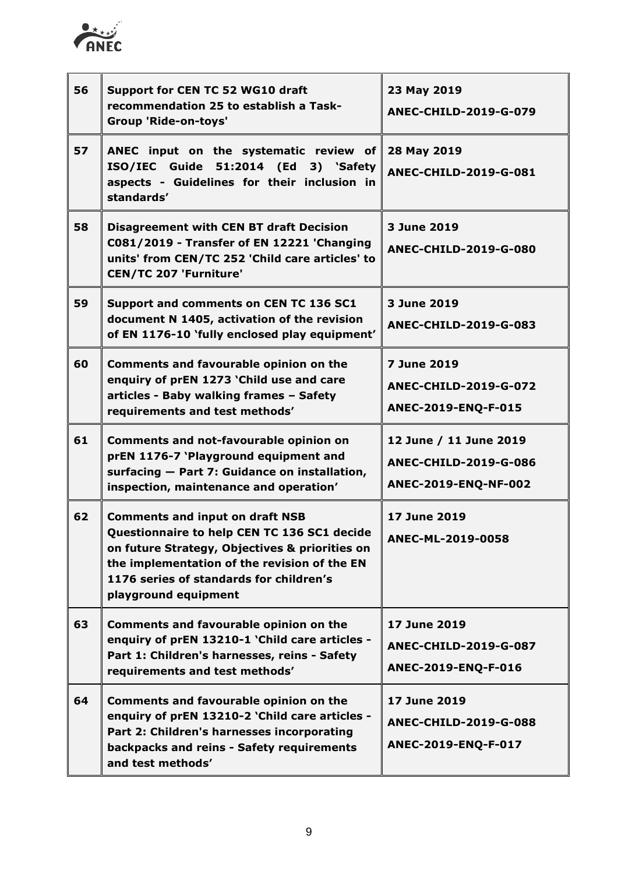

| 56 | Support for CEN TC 52 WG10 draft<br>recommendation 25 to establish a Task-<br>Group 'Ride-on-toys'                                                                                                                                                         | 23 May 2019<br><b>ANEC-CHILD-2019-G-079</b>                               |
|----|------------------------------------------------------------------------------------------------------------------------------------------------------------------------------------------------------------------------------------------------------------|---------------------------------------------------------------------------|
| 57 | ANEC input on the systematic review of<br>ISO/IEC Guide 51:2014 (Ed 3) 'Safety<br>aspects - Guidelines for their inclusion in<br>standards'                                                                                                                | 28 May 2019<br><b>ANEC-CHILD-2019-G-081</b>                               |
| 58 | <b>Disagreement with CEN BT draft Decision</b><br>C081/2019 - Transfer of EN 12221 'Changing<br>units' from CEN/TC 252 'Child care articles' to<br><b>CEN/TC 207 'Furniture'</b>                                                                           | 3 June 2019<br><b>ANEC-CHILD-2019-G-080</b>                               |
| 59 | Support and comments on CEN TC 136 SC1<br>document N 1405, activation of the revision<br>of EN 1176-10 'fully enclosed play equipment'                                                                                                                     | 3 June 2019<br><b>ANEC-CHILD-2019-G-083</b>                               |
| 60 | <b>Comments and favourable opinion on the</b><br>enquiry of prEN 1273 'Child use and care<br>articles - Baby walking frames - Safety<br>requirements and test methods'                                                                                     | <b>7 June 2019</b><br><b>ANEC-CHILD-2019-G-072</b><br>ANEC-2019-ENQ-F-015 |
| 61 | <b>Comments and not-favourable opinion on</b><br>prEN 1176-7 'Playground equipment and<br>surfacing - Part 7: Guidance on installation,<br>inspection, maintenance and operation'                                                                          | 12 June / 11 June 2019<br>ANEC-CHILD-2019-G-086<br>ANEC-2019-ENQ-NF-002   |
| 62 | <b>Comments and input on draft NSB</b><br>Questionnaire to help CEN TC 136 SC1 decide<br>on future Strategy, Objectives & priorities on<br>the implementation of the revision of the EN<br>1176 series of standards for children's<br>playground equipment | 17 June 2019<br>ANFC-MI-2019-0058                                         |
| 63 | <b>Comments and favourable opinion on the</b><br>enquiry of prEN 13210-1 'Child care articles -<br>Part 1: Children's harnesses, reins - Safety<br>requirements and test methods'                                                                          | 17 June 2019<br><b>ANEC-CHILD-2019-G-087</b><br>ANEC-2019-ENQ-F-016       |
| 64 | <b>Comments and favourable opinion on the</b><br>enquiry of prEN 13210-2 'Child care articles -<br>Part 2: Children's harnesses incorporating<br>backpacks and reins - Safety requirements<br>and test methods'                                            | 17 June 2019<br><b>ANEC-CHILD-2019-G-088</b><br>ANEC-2019-ENQ-F-017       |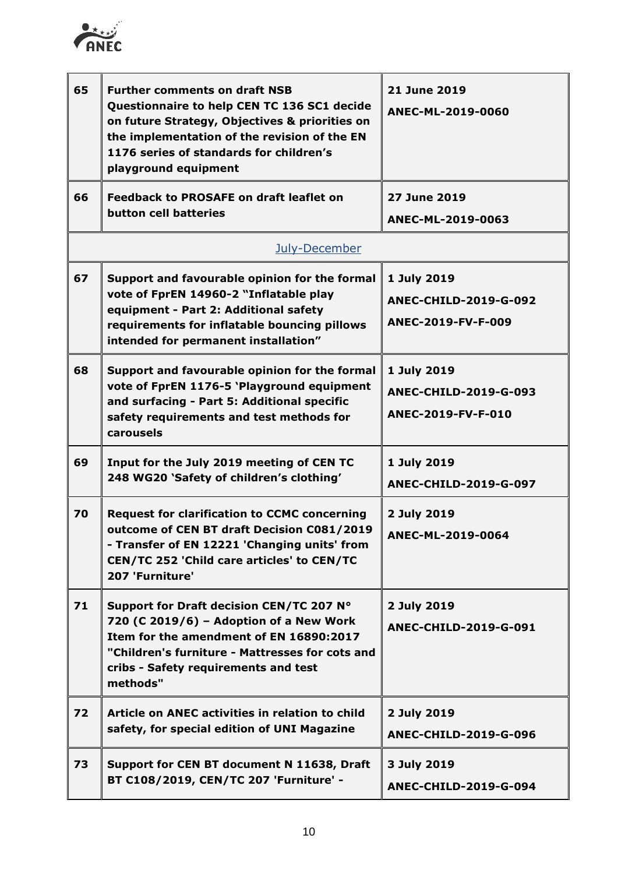

| 65 | <b>Further comments on draft NSB</b><br>Questionnaire to help CEN TC 136 SC1 decide<br>on future Strategy, Objectives & priorities on<br>the implementation of the revision of the EN<br>1176 series of standards for children's<br>playground equipment | 21 June 2019<br>ANEC-ML-2019-0060                                 |
|----|----------------------------------------------------------------------------------------------------------------------------------------------------------------------------------------------------------------------------------------------------------|-------------------------------------------------------------------|
| 66 | <b>Feedback to PROSAFE on draft leaflet on</b><br>button cell batteries                                                                                                                                                                                  | 27 June 2019<br>ANEC-ML-2019-0063                                 |
|    | July-December                                                                                                                                                                                                                                            |                                                                   |
| 67 | Support and favourable opinion for the formal<br>vote of FprEN 14960-2 "Inflatable play<br>equipment - Part 2: Additional safety<br>requirements for inflatable bouncing pillows<br>intended for permanent installation"                                 | 1 July 2019<br><b>ANEC-CHILD-2019-G-092</b><br>ANEC-2019-FV-F-009 |
| 68 | Support and favourable opinion for the formal<br>vote of FprEN 1176-5 'Playground equipment<br>and surfacing - Part 5: Additional specific<br>safety requirements and test methods for<br>carousels                                                      | 1 July 2019<br><b>ANEC-CHILD-2019-G-093</b><br>ANEC-2019-FV-F-010 |
| 69 | Input for the July 2019 meeting of CEN TC<br>248 WG20 'Safety of children's clothing'                                                                                                                                                                    | 1 July 2019<br><b>ANEC-CHILD-2019-G-097</b>                       |
| 70 | <b>Request for clarification to CCMC concerning</b><br>outcome of CEN BT draft Decision C081/2019<br>- Transfer of EN 12221 'Changing units' from<br>CEN/TC 252 'Child care articles' to CEN/TC<br>207 'Furniture'                                       | 2 July 2019<br>ANEC-ML-2019-0064                                  |
| 71 | Support for Draft decision CEN/TC 207 N°<br>720 (C 2019/6) - Adoption of a New Work<br>Item for the amendment of EN 16890:2017<br>"Children's furniture - Mattresses for cots and<br>cribs - Safety requirements and test<br>methods"                    | 2 July 2019<br>ANEC-CHILD-2019-G-091                              |
| 72 | Article on ANEC activities in relation to child<br>safety, for special edition of UNI Magazine                                                                                                                                                           | 2 July 2019<br>ANEC-CHILD-2019-G-096                              |
| 73 | Support for CEN BT document N 11638, Draft<br>BT C108/2019, CEN/TC 207 'Furniture' -                                                                                                                                                                     | 3 July 2019<br>ANEC-CHILD-2019-G-094                              |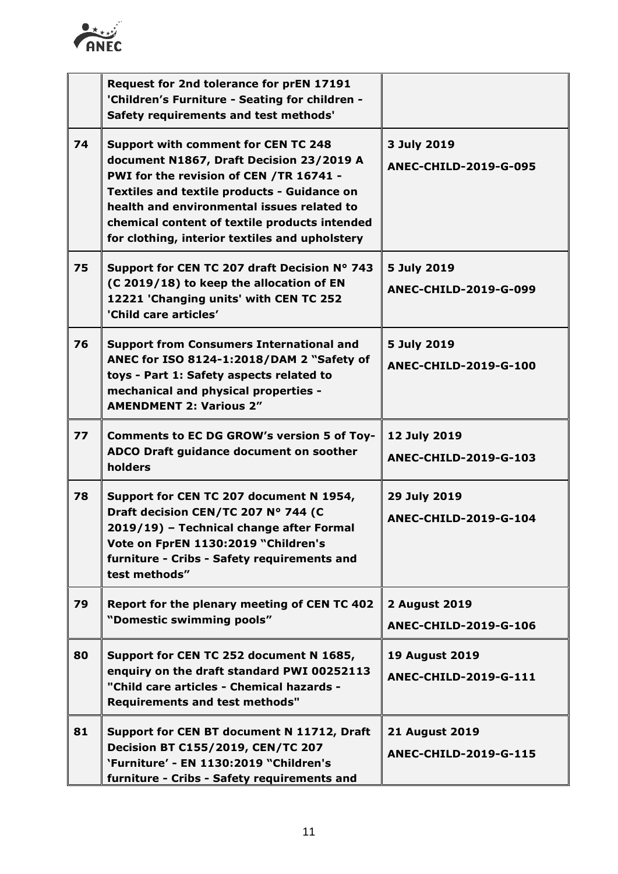

|    | Request for 2nd tolerance for prEN 17191<br>'Children's Furniture - Seating for children -<br>Safety requirements and test methods'                                                                                                                                                                                                      |                                                       |
|----|------------------------------------------------------------------------------------------------------------------------------------------------------------------------------------------------------------------------------------------------------------------------------------------------------------------------------------------|-------------------------------------------------------|
| 74 | <b>Support with comment for CEN TC 248</b><br>document N1867, Draft Decision 23/2019 A<br>PWI for the revision of CEN /TR 16741 -<br><b>Textiles and textile products - Guidance on</b><br>health and environmental issues related to<br>chemical content of textile products intended<br>for clothing, interior textiles and upholstery | 3 July 2019<br><b>ANEC-CHILD-2019-G-095</b>           |
| 75 | Support for CEN TC 207 draft Decision N° 743<br>(C 2019/18) to keep the allocation of EN<br>12221 'Changing units' with CEN TC 252<br>'Child care articles'                                                                                                                                                                              | 5 July 2019<br>ANEC-CHILD-2019-G-099                  |
| 76 | <b>Support from Consumers International and</b><br>ANEC for ISO 8124-1:2018/DAM 2 "Safety of<br>toys - Part 1: Safety aspects related to<br>mechanical and physical properties -<br><b>AMENDMENT 2: Various 2"</b>                                                                                                                       | 5 July 2019<br><b>ANEC-CHILD-2019-G-100</b>           |
| 77 | <b>Comments to EC DG GROW's version 5 of Toy-</b><br>ADCO Draft guidance document on soother<br>holders                                                                                                                                                                                                                                  | 12 July 2019<br>ANEC-CHILD-2019-G-103                 |
| 78 | Support for CEN TC 207 document N 1954,<br>Draft decision CEN/TC 207 Nº 744 (C<br>2019/19) - Technical change after Formal<br>Vote on FprEN 1130:2019 "Children's<br>furniture - Cribs - Safety requirements and<br>test methods"                                                                                                        | 29 July 2019<br>ANEC-CHILD-2019-G-104                 |
| 79 | Report for the plenary meeting of CEN TC 402<br>"Domestic swimming pools"                                                                                                                                                                                                                                                                | <b>2 August 2019</b><br><b>ANEC-CHILD-2019-G-106</b>  |
| 80 | Support for CEN TC 252 document N 1685,<br>enquiry on the draft standard PWI 00252113<br>"Child care articles - Chemical hazards -<br><b>Requirements and test methods"</b>                                                                                                                                                              | <b>19 August 2019</b><br>ANEC-CHILD-2019-G-111        |
| 81 | Support for CEN BT document N 11712, Draft<br><b>Decision BT C155/2019, CEN/TC 207</b><br>'Furniture' - EN 1130:2019 "Children's<br>furniture - Cribs - Safety requirements and                                                                                                                                                          | <b>21 August 2019</b><br><b>ANEC-CHILD-2019-G-115</b> |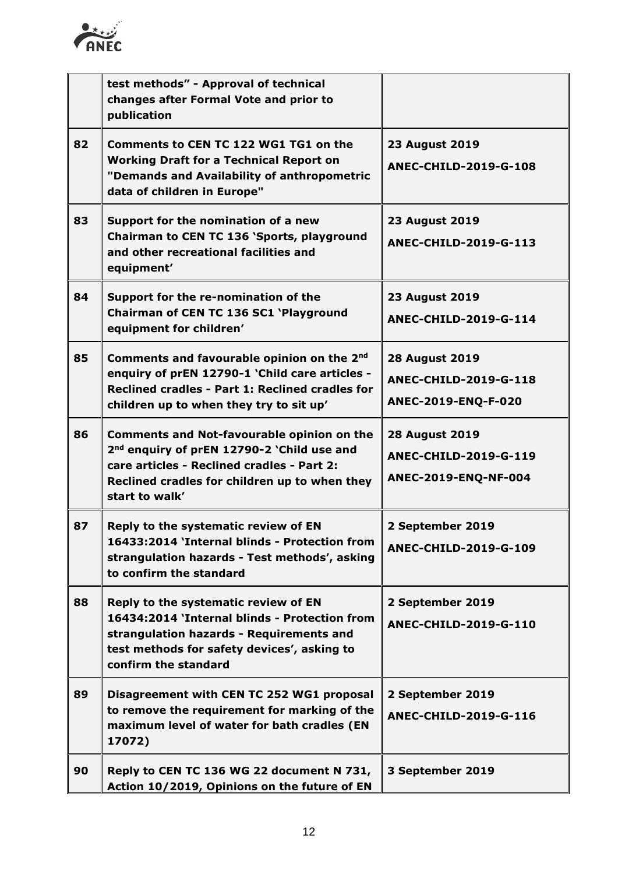

|    | test methods" - Approval of technical<br>changes after Formal Vote and prior to<br>publication                                                                                                                               |                                                                               |
|----|------------------------------------------------------------------------------------------------------------------------------------------------------------------------------------------------------------------------------|-------------------------------------------------------------------------------|
| 82 | Comments to CEN TC 122 WG1 TG1 on the<br><b>Working Draft for a Technical Report on</b><br>"Demands and Availability of anthropometric<br>data of children in Europe"                                                        | <b>23 August 2019</b><br><b>ANEC-CHILD-2019-G-108</b>                         |
| 83 | Support for the nomination of a new<br>Chairman to CEN TC 136 'Sports, playground<br>and other recreational facilities and<br>equipment'                                                                                     | <b>23 August 2019</b><br>ANEC-CHILD-2019-G-113                                |
| 84 | Support for the re-nomination of the<br>Chairman of CEN TC 136 SC1 'Playground<br>equipment for children'                                                                                                                    | <b>23 August 2019</b><br><b>ANEC-CHILD-2019-G-114</b>                         |
| 85 | Comments and favourable opinion on the 2nd<br>enquiry of prEN 12790-1 'Child care articles -<br>Reclined cradles - Part 1: Reclined cradles for<br>children up to when they try to sit up'                                   | <b>28 August 2019</b><br><b>ANEC-CHILD-2019-G-118</b><br>ANEC-2019-ENQ-F-020  |
| 86 | <b>Comments and Not-favourable opinion on the</b><br>2 <sup>nd</sup> enquiry of prEN 12790-2 'Child use and<br>care articles - Reclined cradles - Part 2:<br>Reclined cradles for children up to when they<br>start to walk' | <b>28 August 2019</b><br><b>ANEC-CHILD-2019-G-119</b><br>ANEC-2019-ENQ-NF-004 |
| 87 | Reply to the systematic review of EN<br>16433:2014 'Internal blinds - Protection from<br>strangulation hazards - Test methods', asking<br>to confirm the standard                                                            | 2 September 2019<br>ANEC-CHILD-2019-G-109                                     |
| 88 | Reply to the systematic review of EN<br>16434:2014 'Internal blinds - Protection from<br>strangulation hazards - Requirements and<br>test methods for safety devices', asking to<br>confirm the standard                     | 2 September 2019<br><b>ANEC-CHILD-2019-G-110</b>                              |
| 89 | Disagreement with CEN TC 252 WG1 proposal<br>to remove the requirement for marking of the<br>maximum level of water for bath cradles (EN<br>17072)                                                                           | 2 September 2019<br>ANEC-CHILD-2019-G-116                                     |
| 90 | Reply to CEN TC 136 WG 22 document N 731,<br>Action 10/2019, Opinions on the future of EN                                                                                                                                    | 3 September 2019                                                              |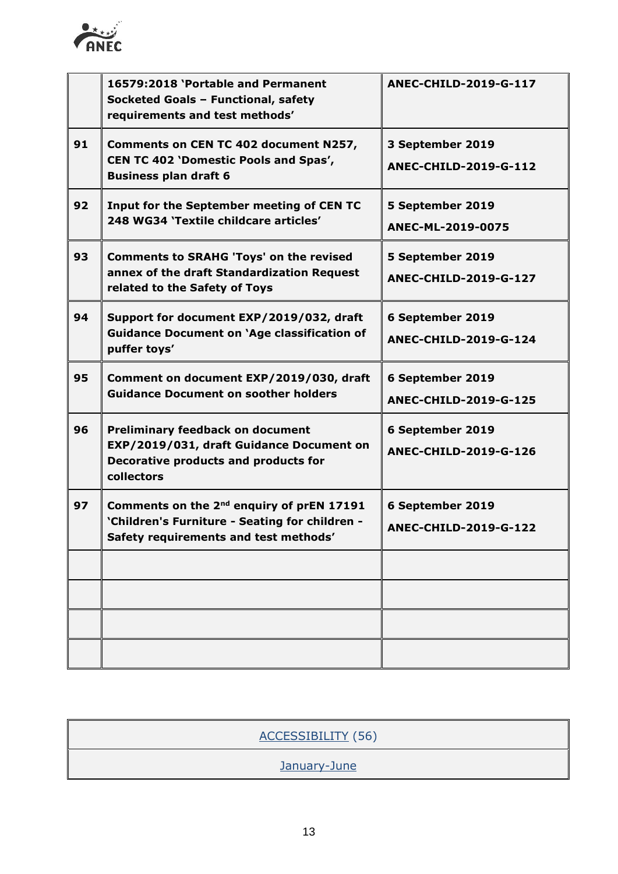

|    | 16579:2018 'Portable and Permanent<br>Socketed Goals - Functional, safety<br>requirements and test methods'                                      | ANEC-CHILD-2019-G-117                            |
|----|--------------------------------------------------------------------------------------------------------------------------------------------------|--------------------------------------------------|
| 91 | Comments on CEN TC 402 document N257,<br><b>CEN TC 402 'Domestic Pools and Spas',</b><br><b>Business plan draft 6</b>                            | 3 September 2019<br>ANEC-CHILD-2019-G-112        |
| 92 | Input for the September meeting of CEN TC<br>248 WG34 'Textile childcare articles'                                                               | 5 September 2019<br>ANEC-ML-2019-0075            |
| 93 | <b>Comments to SRAHG 'Toys' on the revised</b><br>annex of the draft Standardization Request<br>related to the Safety of Toys                    | 5 September 2019<br>ANEC-CHILD-2019-G-127        |
| 94 | Support for document EXP/2019/032, draft<br><b>Guidance Document on 'Age classification of</b><br>puffer toys'                                   | 6 September 2019<br>ANEC-CHILD-2019-G-124        |
| 95 | Comment on document EXP/2019/030, draft<br><b>Guidance Document on soother holders</b>                                                           | 6 September 2019<br><b>ANEC-CHILD-2019-G-125</b> |
| 96 | <b>Preliminary feedback on document</b><br>EXP/2019/031, draft Guidance Document on<br>Decorative products and products for<br>collectors        | 6 September 2019<br><b>ANEC-CHILD-2019-G-126</b> |
| 97 | Comments on the 2 <sup>nd</sup> enquiry of prEN 17191<br>'Children's Furniture - Seating for children -<br>Safety requirements and test methods' | 6 September 2019<br>ANEC-CHILD-2019-G-122        |
|    |                                                                                                                                                  |                                                  |
|    |                                                                                                                                                  |                                                  |
|    |                                                                                                                                                  |                                                  |
|    |                                                                                                                                                  |                                                  |

| ACCESSIBILITY (56) |
|--------------------|
| January-June       |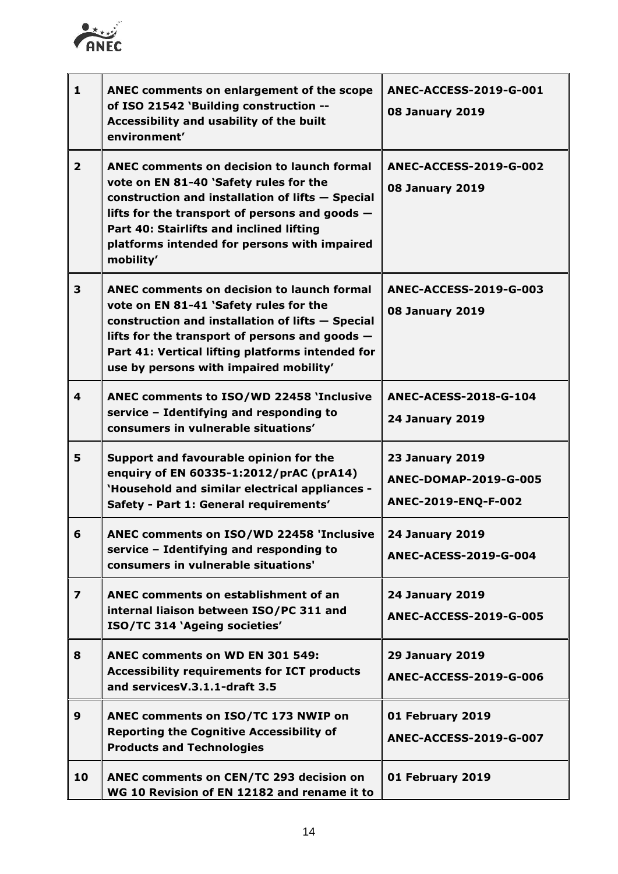

| $\mathbf{1}$            | ANEC comments on enlargement of the scope<br>of ISO 21542 'Building construction --<br>Accessibility and usability of the built<br>environment'                                                                                                                                                              | <b>ANEC-ACCESS-2019-G-001</b><br><b>08 January 2019</b>                       |
|-------------------------|--------------------------------------------------------------------------------------------------------------------------------------------------------------------------------------------------------------------------------------------------------------------------------------------------------------|-------------------------------------------------------------------------------|
| $\overline{2}$          | <b>ANEC comments on decision to launch formal</b><br>vote on EN 81-40 'Safety rules for the<br>construction and installation of lifts - Special<br>lifts for the transport of persons and goods $-$<br>Part 40: Stairlifts and inclined lifting<br>platforms intended for persons with impaired<br>mobility' | <b>ANEC-ACCESS-2019-G-002</b><br><b>08 January 2019</b>                       |
| 3                       | <b>ANEC comments on decision to launch formal</b><br>vote on EN 81-41 'Safety rules for the<br>construction and installation of lifts - Special<br>lifts for the transport of persons and goods $-$<br>Part 41: Vertical lifting platforms intended for<br>use by persons with impaired mobility'            | <b>ANEC-ACCESS-2019-G-003</b><br><b>08 January 2019</b>                       |
| 4                       | ANEC comments to ISO/WD 22458 'Inclusive<br>service - Identifying and responding to<br>consumers in vulnerable situations'                                                                                                                                                                                   | <b>ANEC-ACESS-2018-G-104</b><br><b>24 January 2019</b>                        |
| 5                       | Support and favourable opinion for the<br>enquiry of EN 60335-1:2012/prAC (prA14)<br>'Household and similar electrical appliances -<br>Safety - Part 1: General requirements'                                                                                                                                | <b>23 January 2019</b><br><b>ANEC-DOMAP-2019-G-005</b><br>ANEC-2019-ENQ-F-002 |
| 6                       | ANEC comments on ISO/WD 22458 'Inclusive<br>service - Identifying and responding to<br>consumers in vulnerable situations'                                                                                                                                                                                   | <b>24 January 2019</b><br><b>ANEC-ACESS-2019-G-004</b>                        |
| $\overline{\mathbf{z}}$ | ANEC comments on establishment of an<br>internal liaison between ISO/PC 311 and<br>ISO/TC 314 'Ageing societies'                                                                                                                                                                                             | <b>24 January 2019</b><br><b>ANEC-ACCESS-2019-G-005</b>                       |
| 8                       | <b>ANEC comments on WD EN 301 549:</b><br><b>Accessibility requirements for ICT products</b><br>and services V.3.1.1-draft 3.5                                                                                                                                                                               | <b>29 January 2019</b><br><b>ANEC-ACCESS-2019-G-006</b>                       |
| 9                       | ANEC comments on ISO/TC 173 NWIP on<br><b>Reporting the Cognitive Accessibility of</b><br><b>Products and Technologies</b>                                                                                                                                                                                   | 01 February 2019<br><b>ANEC-ACCESS-2019-G-007</b>                             |
| 10                      | ANEC comments on CEN/TC 293 decision on<br>WG 10 Revision of EN 12182 and rename it to                                                                                                                                                                                                                       | 01 February 2019                                                              |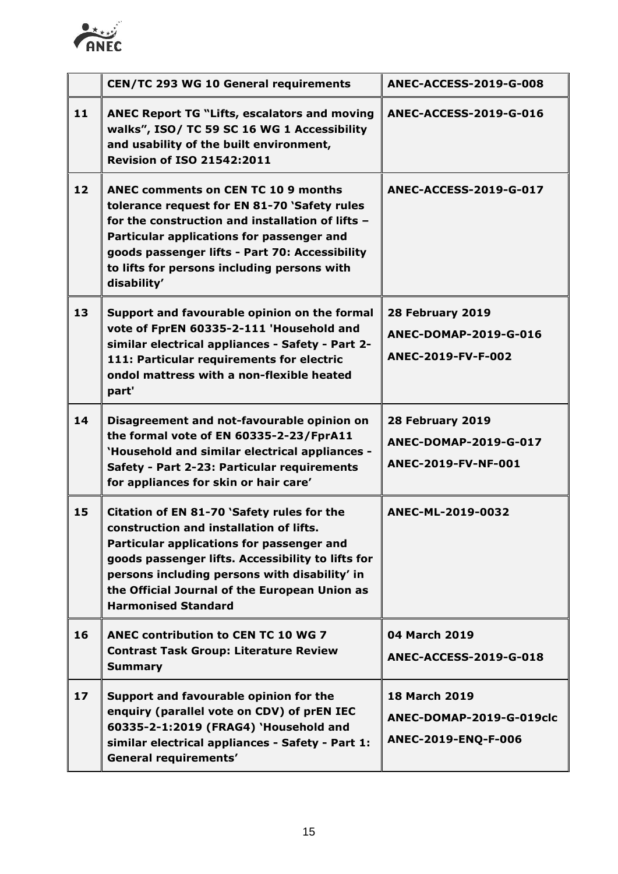

|    | <b>CEN/TC 293 WG 10 General requirements</b>                                                                                                                                                                                                                                                                            | <b>ANEC-ACCESS-2019-G-008</b>                                           |
|----|-------------------------------------------------------------------------------------------------------------------------------------------------------------------------------------------------------------------------------------------------------------------------------------------------------------------------|-------------------------------------------------------------------------|
| 11 | <b>ANEC Report TG "Lifts, escalators and moving</b><br>walks", ISO/ TC 59 SC 16 WG 1 Accessibility<br>and usability of the built environment,<br><b>Revision of ISO 21542:2011</b>                                                                                                                                      | <b>ANEC-ACCESS-2019-G-016</b>                                           |
| 12 | <b>ANEC comments on CEN TC 10 9 months</b><br>tolerance request for EN 81-70 'Safety rules<br>for the construction and installation of lifts -<br>Particular applications for passenger and<br>goods passenger lifts - Part 70: Accessibility<br>to lifts for persons including persons with<br>disability'             | <b>ANEC-ACCESS-2019-G-017</b>                                           |
| 13 | Support and favourable opinion on the formal<br>vote of FprEN 60335-2-111 'Household and<br>similar electrical appliances - Safety - Part 2-<br>111: Particular requirements for electric<br>ondol mattress with a non-flexible heated<br>part'                                                                         | 28 February 2019<br>ANEC-DOMAP-2019-G-016<br>ANEC-2019-FV-F-002         |
| 14 | Disagreement and not-favourable opinion on<br>the formal vote of EN 60335-2-23/FprA11<br>'Household and similar electrical appliances -<br>Safety - Part 2-23: Particular requirements<br>for appliances for skin or hair care'                                                                                         | 28 February 2019<br><b>ANEC-DOMAP-2019-G-017</b><br>ANEC-2019-FV-NF-001 |
| 15 | Citation of EN 81-70 'Safety rules for the<br>construction and installation of lifts.<br>Particular applications for passenger and<br>goods passenger lifts. Accessibility to lifts for<br>persons including persons with disability' in<br>the Official Journal of the European Union as<br><b>Harmonised Standard</b> | ANEC-ML-2019-0032                                                       |
| 16 | <b>ANEC contribution to CEN TC 10 WG 7</b><br><b>Contrast Task Group: Literature Review</b><br><b>Summary</b>                                                                                                                                                                                                           | 04 March 2019<br><b>ANEC-ACCESS-2019-G-018</b>                          |
| 17 | Support and favourable opinion for the<br>enquiry (parallel vote on CDV) of prEN IEC<br>60335-2-1:2019 (FRAG4) 'Household and<br>similar electrical appliances - Safety - Part 1:<br>General requirements'                                                                                                              | <b>18 March 2019</b><br>ANEC-DOMAP-2019-G-019clc<br>ANEC-2019-ENQ-F-006 |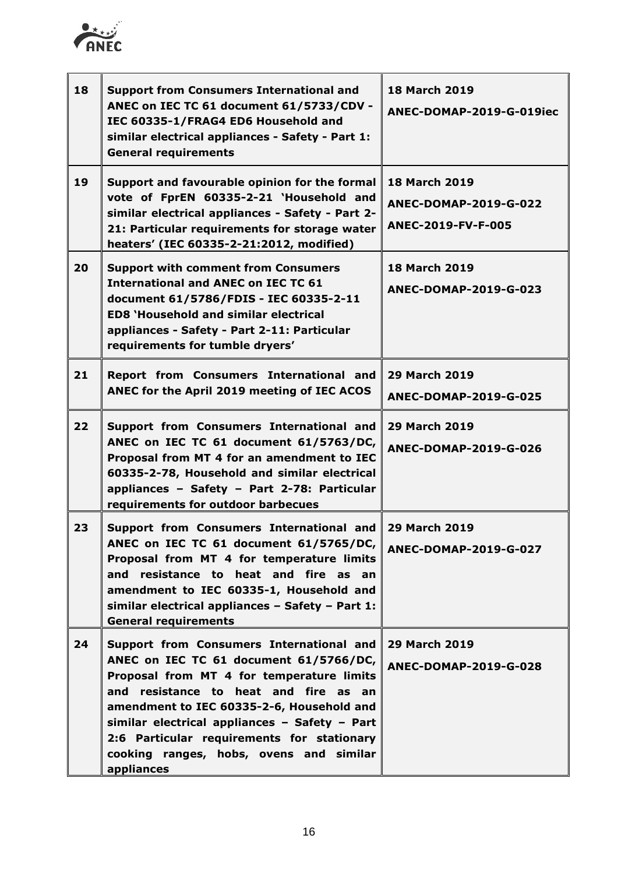

| 18 | <b>Support from Consumers International and</b><br>ANEC on IEC TC 61 document 61/5733/CDV -<br>IEC 60335-1/FRAG4 ED6 Household and<br>similar electrical appliances - Safety - Part 1:<br><b>General requirements</b>                                                                                                                                                         | <b>18 March 2019</b><br>ANEC-DOMAP-2019-G-019iec                    |
|----|-------------------------------------------------------------------------------------------------------------------------------------------------------------------------------------------------------------------------------------------------------------------------------------------------------------------------------------------------------------------------------|---------------------------------------------------------------------|
| 19 | Support and favourable opinion for the formal<br>vote of FprEN 60335-2-21 'Household and<br>similar electrical appliances - Safety - Part 2-<br>21: Particular requirements for storage water<br>heaters' (IEC 60335-2-21:2012, modified)                                                                                                                                     | <b>18 March 2019</b><br>ANEC-DOMAP-2019-G-022<br>ANEC-2019-FV-F-005 |
| 20 | <b>Support with comment from Consumers</b><br><b>International and ANEC on IEC TC 61</b><br>document 61/5786/FDIS - IEC 60335-2-11<br><b>ED8 'Household and similar electrical</b><br>appliances - Safety - Part 2-11: Particular<br>requirements for tumble dryers'                                                                                                          | <b>18 March 2019</b><br>ANEC-DOMAP-2019-G-023                       |
| 21 | Report from Consumers International and<br>ANEC for the April 2019 meeting of IEC ACOS                                                                                                                                                                                                                                                                                        | <b>29 March 2019</b><br>ANEC-DOMAP-2019-G-025                       |
| 22 | Support from Consumers International and<br>ANEC on IEC TC 61 document 61/5763/DC,<br>Proposal from MT 4 for an amendment to IEC<br>60335-2-78, Household and similar electrical<br>appliances - Safety - Part 2-78: Particular<br>requirements for outdoor barbecues                                                                                                         | <b>29 March 2019</b><br>ANEC-DOMAP-2019-G-026                       |
| 23 | Support from Consumers International and<br>ANEC on IEC TC 61 document 61/5765/DC,<br>Proposal from MT 4 for temperature limits<br>and resistance to heat and fire as an<br>amendment to IEC 60335-1, Household and<br>similar electrical appliances - Safety - Part 1:<br><b>General requirements</b>                                                                        | <b>29 March 2019</b><br>ANEC-DOMAP-2019-G-027                       |
| 24 | Support from Consumers International and<br>ANEC on IEC TC 61 document 61/5766/DC,<br>Proposal from MT 4 for temperature limits<br>and resistance to heat and fire as an<br>amendment to IEC 60335-2-6, Household and<br>similar electrical appliances - Safety - Part<br>2:6 Particular requirements for stationary<br>cooking ranges, hobs, ovens and similar<br>appliances | <b>29 March 2019</b><br>ANEC-DOMAP-2019-G-028                       |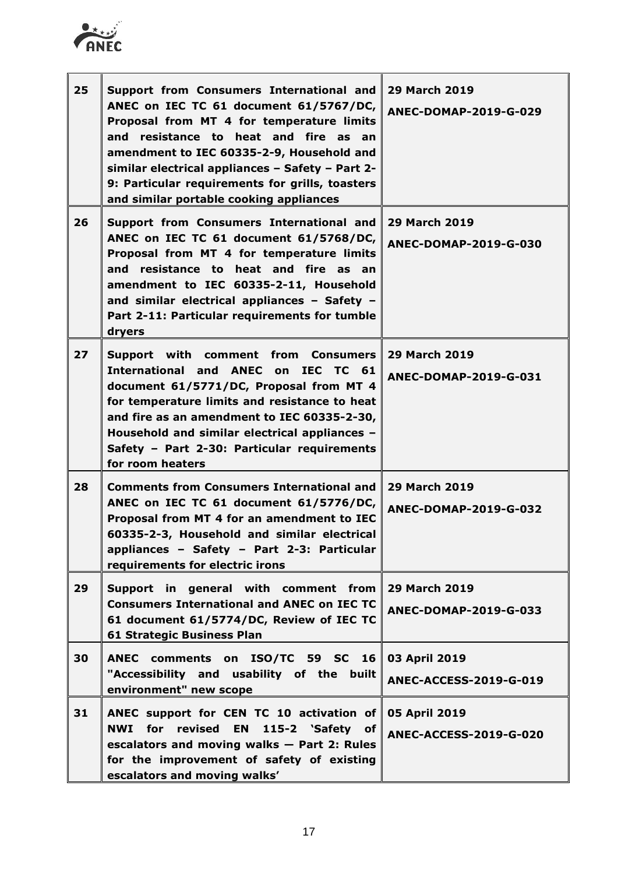

| 25 | Support from Consumers International and<br>ANEC on IEC TC 61 document 61/5767/DC,<br>Proposal from MT 4 for temperature limits<br>and resistance to heat and fire as an<br>amendment to IEC 60335-2-9, Household and<br>similar electrical appliances - Safety - Part 2-<br>9: Particular requirements for grills, toasters<br>and similar portable cooking appliances | <b>29 March 2019</b><br>ANEC-DOMAP-2019-G-029  |
|----|-------------------------------------------------------------------------------------------------------------------------------------------------------------------------------------------------------------------------------------------------------------------------------------------------------------------------------------------------------------------------|------------------------------------------------|
| 26 | Support from Consumers International and<br>ANEC on IEC TC 61 document 61/5768/DC,<br>Proposal from MT 4 for temperature limits<br>and resistance to heat and fire as an<br>amendment to IEC 60335-2-11, Household<br>and similar electrical appliances - Safety -<br>Part 2-11: Particular requirements for tumble<br>dryers                                           | <b>29 March 2019</b><br>ANEC-DOMAP-2019-G-030  |
| 27 | Support with comment from Consumers<br>International and ANEC on IEC TC 61<br>document 61/5771/DC, Proposal from MT 4<br>for temperature limits and resistance to heat<br>and fire as an amendment to IEC 60335-2-30,<br>Household and similar electrical appliances -<br>Safety - Part 2-30: Particular requirements<br>for room heaters                               | <b>29 March 2019</b><br>ANEC-DOMAP-2019-G-031  |
| 28 | <b>Comments from Consumers International and</b><br>ANEC on IEC TC 61 document 61/5776/DC,<br>Proposal from MT 4 for an amendment to IEC<br>60335-2-3, Household and similar electrical<br>appliances - Safety - Part 2-3: Particular<br>requirements for electric irons                                                                                                | <b>29 March 2019</b><br>ANEC-DOMAP-2019-G-032  |
| 29 | Support in general with comment from<br><b>Consumers International and ANEC on IEC TC</b><br>61 document 61/5774/DC, Review of IEC TC<br><b>61 Strategic Business Plan</b>                                                                                                                                                                                              | <b>29 March 2019</b><br>ANEC-DOMAP-2019-G-033  |
| 30 | ANEC comments on ISO/TC 59 SC 16<br>"Accessibility and usability of the built<br>environment" new scope                                                                                                                                                                                                                                                                 | 03 April 2019<br><b>ANEC-ACCESS-2019-G-019</b> |
| 31 | ANEC support for CEN TC 10 activation of<br><b>NWI</b> for revised<br><b>EN</b><br>115-2 'Safety of<br>escalators and moving walks - Part 2: Rules<br>for the improvement of safety of existing<br>escalators and moving walks'                                                                                                                                         | 05 April 2019<br><b>ANEC-ACCESS-2019-G-020</b> |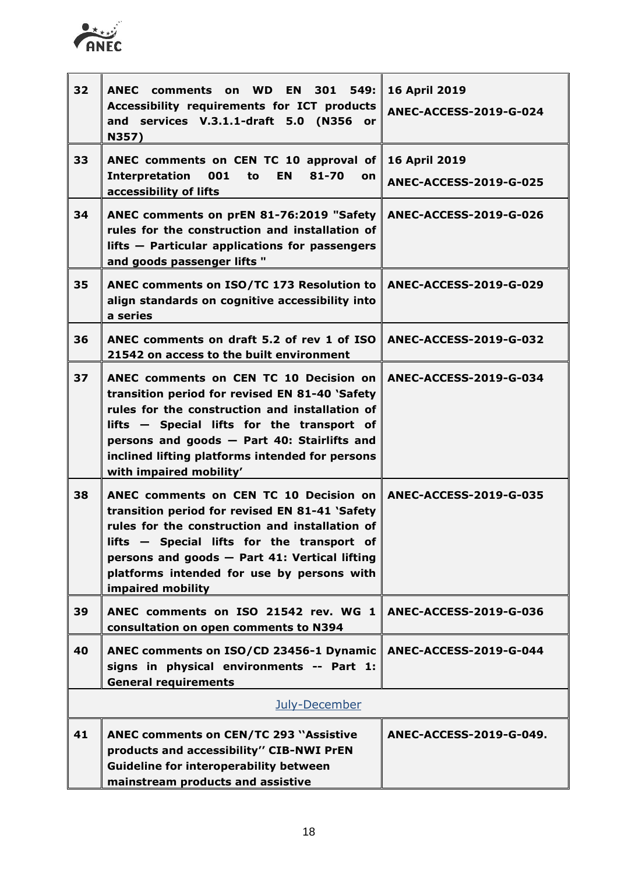

| 32 | <b>ANEC</b><br>comments on WD EN 301 549:<br>Accessibility requirements for ICT products<br>and services V.3.1.1-draft 5.0 (N356 or<br>N357)                                                                                                                                                                                                 | <b>16 April 2019</b><br><b>ANEC-ACCESS-2019-G-024</b> |
|----|----------------------------------------------------------------------------------------------------------------------------------------------------------------------------------------------------------------------------------------------------------------------------------------------------------------------------------------------|-------------------------------------------------------|
| 33 | ANEC comments on CEN TC 10 approval of $\parallel$<br><b>Interpretation</b><br>001<br><b>EN</b><br>81-70<br>to<br>on<br>accessibility of lifts                                                                                                                                                                                               | <b>16 April 2019</b><br><b>ANEC-ACCESS-2019-G-025</b> |
| 34 | ANEC comments on prEN 81-76:2019 "Safety ANEC-ACCESS-2019-G-026<br>rules for the construction and installation of<br>lifts - Particular applications for passengers<br>and goods passenger lifts "                                                                                                                                           |                                                       |
| 35 | ANEC comments on ISO/TC 173 Resolution to ANEC-ACCESS-2019-G-029<br>align standards on cognitive accessibility into<br>a series                                                                                                                                                                                                              |                                                       |
| 36 | ANEC comments on draft 5.2 of rev 1 of ISO ANEC-ACCESS-2019-G-032<br>21542 on access to the built environment                                                                                                                                                                                                                                |                                                       |
| 37 | ANEC comments on CEN TC 10 Decision on ANEC-ACCESS-2019-G-034<br>transition period for revised EN 81-40 'Safety<br>rules for the construction and installation of<br>lifts - Special lifts for the transport of<br>persons and goods - Part 40: Stairlifts and<br>inclined lifting platforms intended for persons<br>with impaired mobility' |                                                       |
| 38 | ANEC comments on CEN TC 10 Decision on ANEC-ACCESS-2019-G-035<br>transition period for revised EN 81-41 'Safety<br>rules for the construction and installation of<br>- Special lifts for the transport of<br>lifts ·<br>persons and goods - Part 41: Vertical lifting<br>platforms intended for use by persons with<br>impaired mobility     |                                                       |
| 39 | ANEC comments on ISO 21542 rev. WG 1<br>consultation on open comments to N394                                                                                                                                                                                                                                                                | ANEC-ACCESS-2019-G-036                                |
| 40 | ANEC comments on ISO/CD 23456-1 Dynamic   <br>signs in physical environments -- Part 1:<br><b>General requirements</b>                                                                                                                                                                                                                       | <b>ANEC-ACCESS-2019-G-044</b>                         |
|    | July-December                                                                                                                                                                                                                                                                                                                                |                                                       |
| 41 | <b>ANEC comments on CEN/TC 293 "Assistive</b><br>products and accessibility" CIB-NWI PrEN<br><b>Guideline for interoperability between</b><br>mainstream products and assistive                                                                                                                                                              | ANEC-ACCESS-2019-G-049.                               |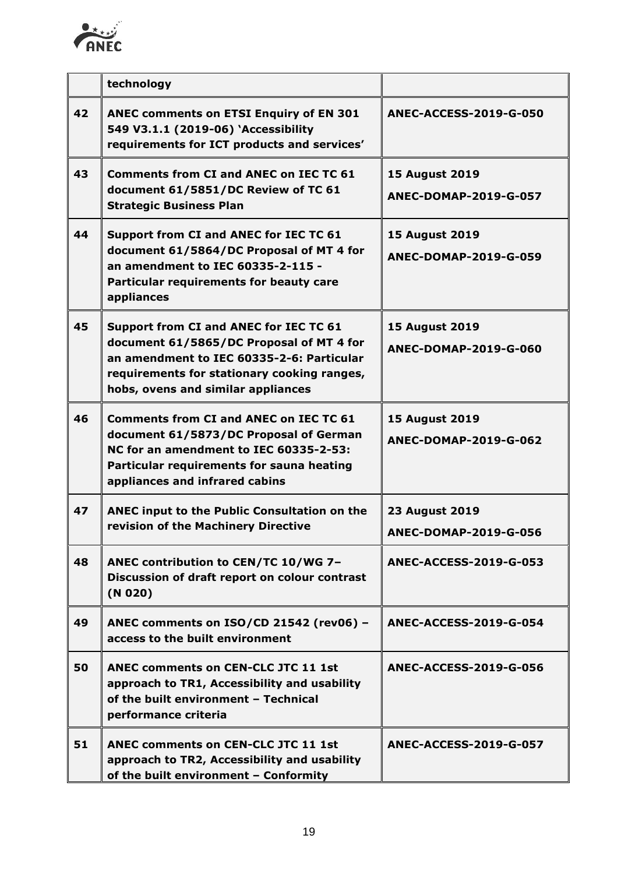

|    | technology                                                                                                                                                                                                           |                                                |
|----|----------------------------------------------------------------------------------------------------------------------------------------------------------------------------------------------------------------------|------------------------------------------------|
| 42 | <b>ANEC comments on ETSI Enquiry of EN 301</b><br>549 V3.1.1 (2019-06) 'Accessibility<br>requirements for ICT products and services'                                                                                 | <b>ANEC-ACCESS-2019-G-050</b>                  |
| 43 | <b>Comments from CI and ANEC on IEC TC 61</b><br>document 61/5851/DC Review of TC 61<br><b>Strategic Business Plan</b>                                                                                               | <b>15 August 2019</b><br>ANEC-DOMAP-2019-G-057 |
| 44 | Support from CI and ANEC for IEC TC 61<br>document 61/5864/DC Proposal of MT 4 for<br>an amendment to IEC 60335-2-115 -<br>Particular requirements for beauty care<br>appliances                                     | <b>15 August 2019</b><br>ANEC-DOMAP-2019-G-059 |
| 45 | Support from CI and ANEC for IEC TC 61<br>document 61/5865/DC Proposal of MT 4 for<br>an amendment to IEC 60335-2-6: Particular<br>requirements for stationary cooking ranges,<br>hobs, ovens and similar appliances | <b>15 August 2019</b><br>ANEC-DOMAP-2019-G-060 |
| 46 | <b>Comments from CI and ANEC on IEC TC 61</b><br>document 61/5873/DC Proposal of German<br>NC for an amendment to IEC 60335-2-53:<br>Particular requirements for sauna heating<br>appliances and infrared cabins     | <b>15 August 2019</b><br>ANEC-DOMAP-2019-G-062 |
| 47 | ANEC input to the Public Consultation on the<br>revision of the Machinery Directive                                                                                                                                  | <b>23 August 2019</b><br>ANEC-DOMAP-2019-G-056 |
| 48 | ANEC contribution to CEN/TC 10/WG 7-<br>Discussion of draft report on colour contrast<br>(N 020)                                                                                                                     | <b>ANEC-ACCESS-2019-G-053</b>                  |
| 49 | ANEC comments on ISO/CD 21542 (rev06) -<br>access to the built environment                                                                                                                                           | ANEC-ACCESS-2019-G-054                         |
| 50 | <b>ANEC comments on CEN-CLC JTC 11 1st</b><br>approach to TR1, Accessibility and usability<br>of the built environment - Technical<br>performance criteria                                                           | ANEC-ACCESS-2019-G-056                         |
| 51 | <b>ANEC comments on CEN-CLC JTC 11 1st</b><br>approach to TR2, Accessibility and usability<br>of the built environment - Conformity                                                                                  | <b>ANEC-ACCESS-2019-G-057</b>                  |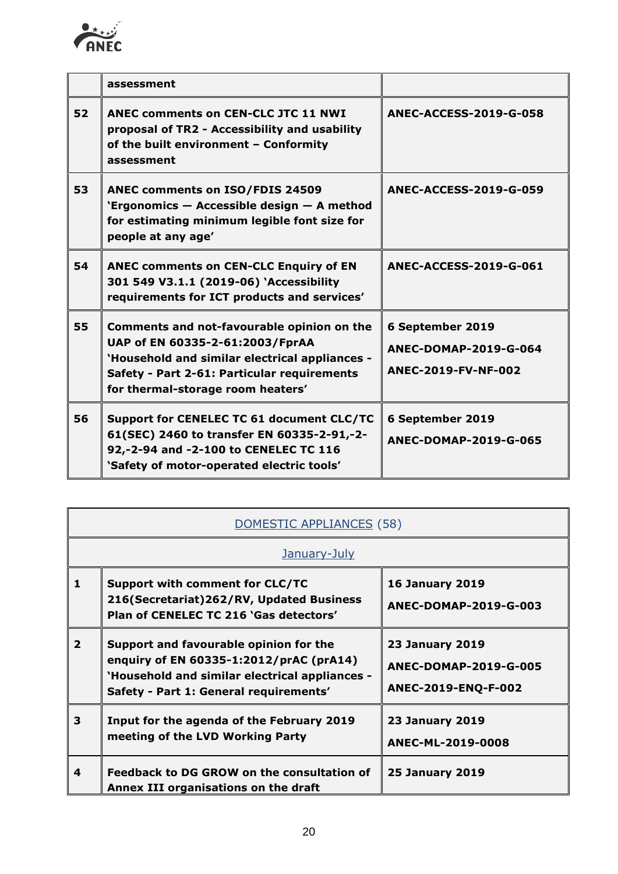

|    | assessment                                                                                                                                                                                                          |                                                                  |
|----|---------------------------------------------------------------------------------------------------------------------------------------------------------------------------------------------------------------------|------------------------------------------------------------------|
| 52 | <b>ANEC comments on CEN-CLC JTC 11 NWI</b><br>proposal of TR2 - Accessibility and usability<br>of the built environment - Conformity<br>assessment                                                                  | <b>ANEC-ACCESS-2019-G-058</b>                                    |
| 53 | <b>ANEC comments on ISO/FDIS 24509</b><br>'Ergonomics - Accessible design - A method<br>for estimating minimum legible font size for<br>people at any age'                                                          | <b>ANEC-ACCESS-2019-G-059</b>                                    |
| 54 | <b>ANEC comments on CEN-CLC Enquiry of EN</b><br>301 549 V3.1.1 (2019-06) 'Accessibility<br>requirements for ICT products and services'                                                                             | <b>ANEC-ACCESS-2019-G-061</b>                                    |
| 55 | Comments and not-favourable opinion on the<br>UAP of EN 60335-2-61:2003/FprAA<br>'Household and similar electrical appliances -<br>Safety - Part 2-61: Particular requirements<br>for thermal-storage room heaters' | 6 September 2019<br>ANEC-DOMAP-2019-G-064<br>ANEC-2019-FV-NF-002 |
| 56 | Support for CENELEC TC 61 document CLC/TC<br>61(SEC) 2460 to transfer EN 60335-2-91,-2-<br>92,-2-94 and -2-100 to CENELEC TC 116<br>'Safety of motor-operated electric tools'                                       | 6 September 2019<br>ANEC-DOMAP-2019-G-065                        |

| DOMESTIC APPLIANCES (58) |                                                                                                                                                                               |                                                                               |  |
|--------------------------|-------------------------------------------------------------------------------------------------------------------------------------------------------------------------------|-------------------------------------------------------------------------------|--|
|                          | January-July                                                                                                                                                                  |                                                                               |  |
| 1                        | <b>Support with comment for CLC/TC</b><br>216(Secretariat)262/RV, Updated Business<br>Plan of CENELEC TC 216 'Gas detectors'                                                  | <b>16 January 2019</b><br>ANEC-DOMAP-2019-G-003                               |  |
| $\overline{2}$           | Support and favourable opinion for the<br>enquiry of EN 60335-1:2012/prAC (prA14)<br>'Household and similar electrical appliances -<br>Safety - Part 1: General requirements' | <b>23 January 2019</b><br><b>ANEC-DOMAP-2019-G-005</b><br>ANEC-2019-ENQ-F-002 |  |
| 3                        | Input for the agenda of the February 2019<br>meeting of the LVD Working Party                                                                                                 | <b>23 January 2019</b><br>ANEC-ML-2019-0008                                   |  |
| 4                        | Feedback to DG GROW on the consultation of<br>Annex III organisations on the draft                                                                                            | <b>25 January 2019</b>                                                        |  |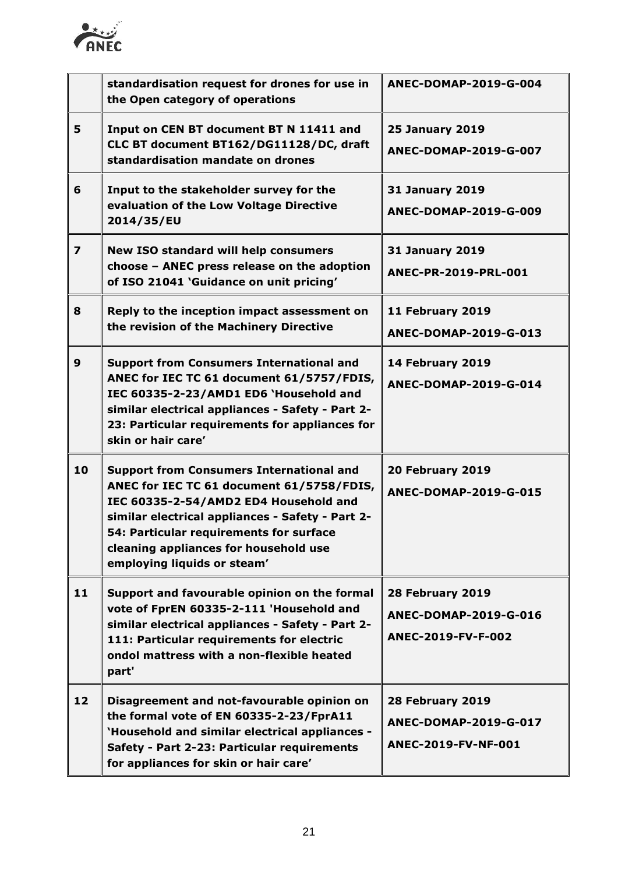

|                         | standardisation request for drones for use in<br>the Open category of operations                                                                                                                                                                                                                             | ANEC-DOMAP-2019-G-004                                            |
|-------------------------|--------------------------------------------------------------------------------------------------------------------------------------------------------------------------------------------------------------------------------------------------------------------------------------------------------------|------------------------------------------------------------------|
| 5                       | Input on CEN BT document BT N 11411 and<br>CLC BT document BT162/DG11128/DC, draft<br>standardisation mandate on drones                                                                                                                                                                                      | <b>25 January 2019</b><br>ANEC-DOMAP-2019-G-007                  |
| 6                       | Input to the stakeholder survey for the<br>evaluation of the Low Voltage Directive<br>2014/35/EU                                                                                                                                                                                                             | <b>31 January 2019</b><br>ANEC-DOMAP-2019-G-009                  |
| $\overline{\mathbf{z}}$ | <b>New ISO standard will help consumers</b><br>choose - ANEC press release on the adoption<br>of ISO 21041 'Guidance on unit pricing'                                                                                                                                                                        | <b>31 January 2019</b><br>ANEC-PR-2019-PRL-001                   |
| 8                       | Reply to the inception impact assessment on<br>the revision of the Machinery Directive                                                                                                                                                                                                                       | 11 February 2019<br>ANEC-DOMAP-2019-G-013                        |
| $\mathbf{9}$            | <b>Support from Consumers International and</b><br>ANEC for IEC TC 61 document 61/5757/FDIS,<br>IEC 60335-2-23/AMD1 ED6 'Household and<br>similar electrical appliances - Safety - Part 2-<br>23: Particular requirements for appliances for<br>skin or hair care'                                           | 14 February 2019<br>ANEC-DOMAP-2019-G-014                        |
| 10                      | <b>Support from Consumers International and</b><br>ANEC for IEC TC 61 document 61/5758/FDIS,<br>IEC 60335-2-54/AMD2 ED4 Household and<br>similar electrical appliances - Safety - Part 2-<br>54: Particular requirements for surface<br>cleaning appliances for household use<br>employing liquids or steam' | 20 February 2019<br>ANEC-DOMAP-2019-G-015                        |
| 11                      | Support and favourable opinion on the formal<br>vote of FprEN 60335-2-111 'Household and<br>similar electrical appliances - Safety - Part 2-<br>111: Particular requirements for electric<br>ondol mattress with a non-flexible heated<br>part'                                                              | 28 February 2019<br>ANEC-DOMAP-2019-G-016<br>ANEC-2019-FV-F-002  |
| 12                      | Disagreement and not-favourable opinion on<br>the formal vote of EN 60335-2-23/FprA11<br>'Household and similar electrical appliances -<br>Safety - Part 2-23: Particular requirements<br>for appliances for skin or hair care'                                                                              | 28 February 2019<br>ANEC-DOMAP-2019-G-017<br>ANEC-2019-FV-NF-001 |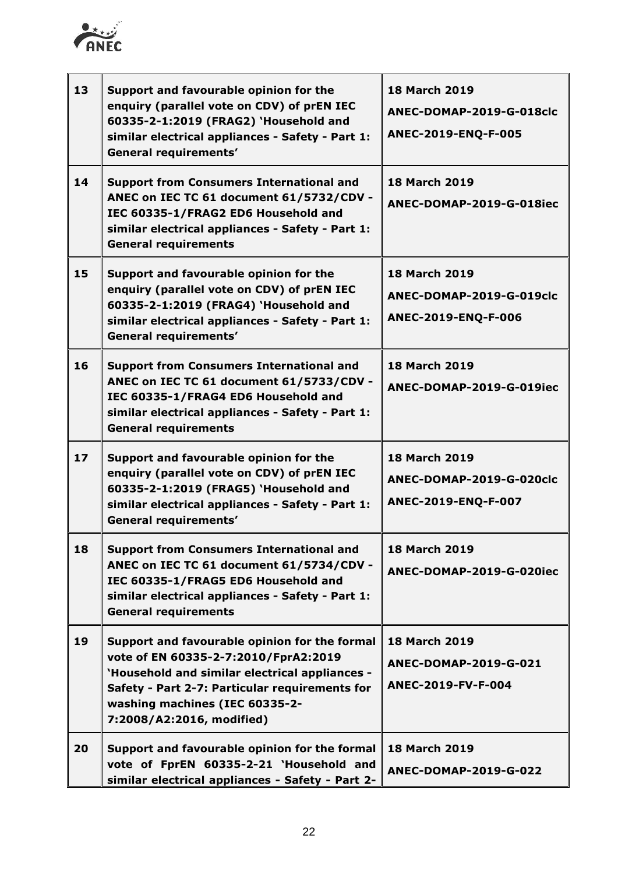

 $\mathbf{r}$ 

| 13 | Support and favourable opinion for the<br>enquiry (parallel vote on CDV) of prEN IEC<br>60335-2-1:2019 (FRAG2) 'Household and<br>similar electrical appliances - Safety - Part 1:<br><b>General requirements'</b>                                        | <b>18 March 2019</b><br>ANEC-DOMAP-2019-G-018clc<br>ANEC-2019-ENQ-F-005 |
|----|----------------------------------------------------------------------------------------------------------------------------------------------------------------------------------------------------------------------------------------------------------|-------------------------------------------------------------------------|
| 14 | <b>Support from Consumers International and</b><br>ANEC on IEC TC 61 document 61/5732/CDV -<br>IEC 60335-1/FRAG2 ED6 Household and<br>similar electrical appliances - Safety - Part 1:<br><b>General requirements</b>                                    | <b>18 March 2019</b><br>ANEC-DOMAP-2019-G-018iec                        |
| 15 | Support and favourable opinion for the<br>enquiry (parallel vote on CDV) of prEN IEC<br>60335-2-1:2019 (FRAG4) 'Household and<br>similar electrical appliances - Safety - Part 1:<br><b>General requirements'</b>                                        | <b>18 March 2019</b><br>ANEC-DOMAP-2019-G-019clc<br>ANEC-2019-ENQ-F-006 |
| 16 | <b>Support from Consumers International and</b><br>ANEC on IEC TC 61 document 61/5733/CDV -<br>IEC 60335-1/FRAG4 ED6 Household and<br>similar electrical appliances - Safety - Part 1:<br><b>General requirements</b>                                    | <b>18 March 2019</b><br>ANEC-DOMAP-2019-G-019iec                        |
| 17 | Support and favourable opinion for the<br>enquiry (parallel vote on CDV) of prEN IEC<br>60335-2-1:2019 (FRAG5) 'Household and<br>similar electrical appliances - Safety - Part 1:<br><b>General requirements'</b>                                        | <b>18 March 2019</b><br>ANEC-DOMAP-2019-G-020clc<br>ANEC-2019-ENQ-F-007 |
| 18 | <b>Support from Consumers International and</b><br>ANEC on IEC TC 61 document 61/5734/CDV -<br>IEC 60335-1/FRAG5 ED6 Household and<br>similar electrical appliances - Safety - Part 1:<br><b>General requirements</b>                                    | <b>18 March 2019</b><br>ANEC-DOMAP-2019-G-020iec                        |
| 19 | Support and favourable opinion for the formal<br>vote of EN 60335-2-7:2010/FprA2:2019<br>'Household and similar electrical appliances -<br>Safety - Part 2-7: Particular requirements for<br>washing machines (IEC 60335-2-<br>7:2008/A2:2016, modified) | <b>18 March 2019</b><br>ANEC-DOMAP-2019-G-021<br>ANEC-2019-FV-F-004     |
| 20 | Support and favourable opinion for the formal<br>vote of FprEN 60335-2-21 'Household and<br>similar electrical appliances - Safety - Part 2-                                                                                                             | <b>18 March 2019</b><br>ANEC-DOMAP-2019-G-022                           |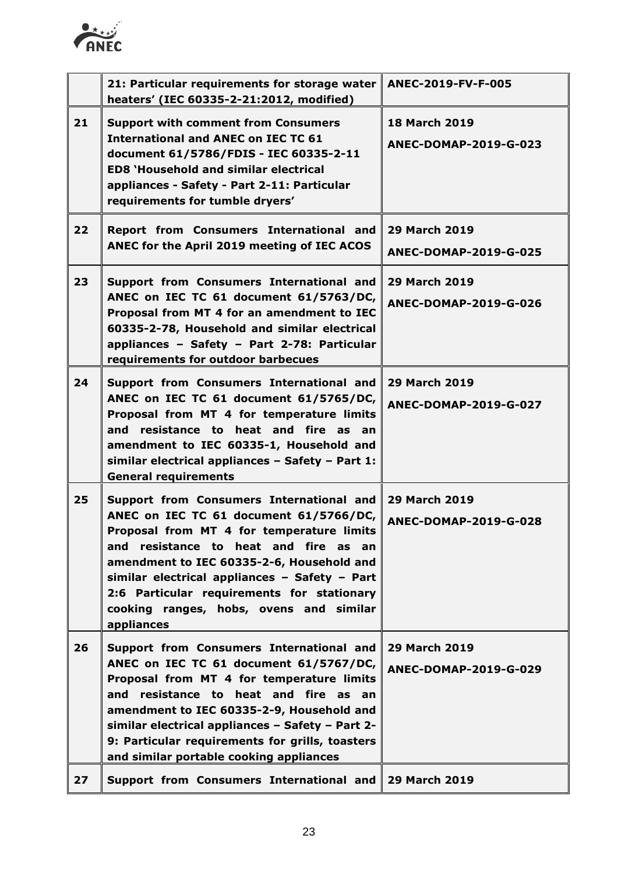

|    | 21: Particular requirements for storage water<br>heaters' (IEC 60335-2-21:2012, modified)                                                                                                                                                                                                                                                                                     | ANEC-2019-FV-F-005                            |
|----|-------------------------------------------------------------------------------------------------------------------------------------------------------------------------------------------------------------------------------------------------------------------------------------------------------------------------------------------------------------------------------|-----------------------------------------------|
| 21 | <b>Support with comment from Consumers</b><br><b>International and ANEC on IEC TC 61</b><br>document 61/5786/FDIS - IEC 60335-2-11<br><b>ED8 'Household and similar electrical</b><br>appliances - Safety - Part 2-11: Particular<br>requirements for tumble dryers'                                                                                                          | <b>18 March 2019</b><br>ANEC-DOMAP-2019-G-023 |
| 22 | Report from Consumers International and<br>ANEC for the April 2019 meeting of IEC ACOS                                                                                                                                                                                                                                                                                        | <b>29 March 2019</b><br>ANEC-DOMAP-2019-G-025 |
| 23 | Support from Consumers International and<br>ANEC on IEC TC 61 document 61/5763/DC,<br>Proposal from MT 4 for an amendment to IEC<br>60335-2-78, Household and similar electrical<br>appliances - Safety - Part 2-78: Particular<br>requirements for outdoor barbecues                                                                                                         | <b>29 March 2019</b><br>ANEC-DOMAP-2019-G-026 |
| 24 | Support from Consumers International and<br>ANEC on IEC TC 61 document 61/5765/DC,<br>Proposal from MT 4 for temperature limits<br>resistance to heat and fire as an<br>and<br>amendment to IEC 60335-1, Household and<br>similar electrical appliances - Safety - Part 1:<br><b>General requirements</b>                                                                     | <b>29 March 2019</b><br>ANEC-DOMAP-2019-G-027 |
| 25 | Support from Consumers International and<br>ANEC on IEC TC 61 document 61/5766/DC,<br>Proposal from MT 4 for temperature limits<br>and resistance to heat and fire as an<br>amendment to IEC 60335-2-6, Household and<br>similar electrical appliances - Safety - Part<br>2:6 Particular requirements for stationary<br>cooking ranges, hobs, ovens and similar<br>appliances | <b>29 March 2019</b><br>ANEC-DOMAP-2019-G-028 |
| 26 | Support from Consumers International and<br>ANEC on IEC TC 61 document 61/5767/DC,<br>Proposal from MT 4 for temperature limits<br>and resistance to heat and fire as an<br>amendment to IEC 60335-2-9, Household and<br>similar electrical appliances - Safety - Part 2-<br>9: Particular requirements for grills, toasters<br>and similar portable cooking appliances       | <b>29 March 2019</b><br>ANEC-DOMAP-2019-G-029 |
| 27 | Support from Consumers International and   29 March 2019                                                                                                                                                                                                                                                                                                                      |                                               |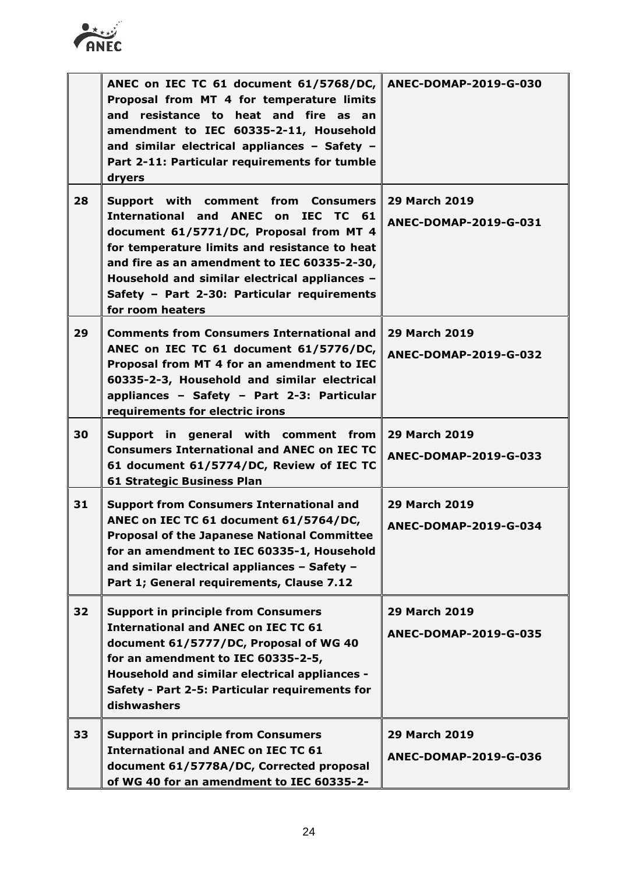

|    | ANEC on IEC TC 61 document 61/5768/DC, ANEC-DOMAP-2019-G-030<br>Proposal from MT 4 for temperature limits<br>and resistance to heat and fire as an<br>amendment to IEC 60335-2-11, Household<br>and similar electrical appliances - Safety -<br>Part 2-11: Particular requirements for tumble<br>dryers                                   |                                                      |
|----|-------------------------------------------------------------------------------------------------------------------------------------------------------------------------------------------------------------------------------------------------------------------------------------------------------------------------------------------|------------------------------------------------------|
| 28 | Support with comment from Consumers<br>International and ANEC on IEC TC 61<br>document 61/5771/DC, Proposal from MT 4<br>for temperature limits and resistance to heat<br>and fire as an amendment to IEC 60335-2-30,<br>Household and similar electrical appliances -<br>Safety - Part 2-30: Particular requirements<br>for room heaters | <b>29 March 2019</b><br><b>ANEC-DOMAP-2019-G-031</b> |
| 29 | <b>Comments from Consumers International and</b><br>ANEC on IEC TC 61 document 61/5776/DC,<br>Proposal from MT 4 for an amendment to IEC<br>60335-2-3, Household and similar electrical<br>appliances - Safety - Part 2-3: Particular<br>requirements for electric irons                                                                  | <b>29 March 2019</b><br>ANEC-DOMAP-2019-G-032        |
| 30 | Support in general with comment from<br><b>Consumers International and ANEC on IEC TC</b><br>61 document 61/5774/DC, Review of IEC TC<br><b>61 Strategic Business Plan</b>                                                                                                                                                                | <b>29 March 2019</b><br>ANEC-DOMAP-2019-G-033        |
| 31 | <b>Support from Consumers International and</b><br>ANEC on IEC TC 61 document 61/5764/DC,<br><b>Proposal of the Japanese National Committee</b><br>for an amendment to IEC 60335-1, Household<br>and similar electrical appliances - Safety -<br>Part 1; General requirements, Clause 7.12                                                | <b>29 March 2019</b><br>ANEC-DOMAP-2019-G-034        |
| 32 | <b>Support in principle from Consumers</b><br><b>International and ANEC on IEC TC 61</b><br>document 61/5777/DC, Proposal of WG 40<br>for an amendment to IEC 60335-2-5,<br>Household and similar electrical appliances -<br>Safety - Part 2-5: Particular requirements for<br>dishwashers                                                | <b>29 March 2019</b><br><b>ANEC-DOMAP-2019-G-035</b> |
| 33 | <b>Support in principle from Consumers</b><br><b>International and ANEC on IEC TC 61</b><br>document 61/5778A/DC, Corrected proposal<br>of WG 40 for an amendment to IEC 60335-2-                                                                                                                                                         | <b>29 March 2019</b><br>ANEC-DOMAP-2019-G-036        |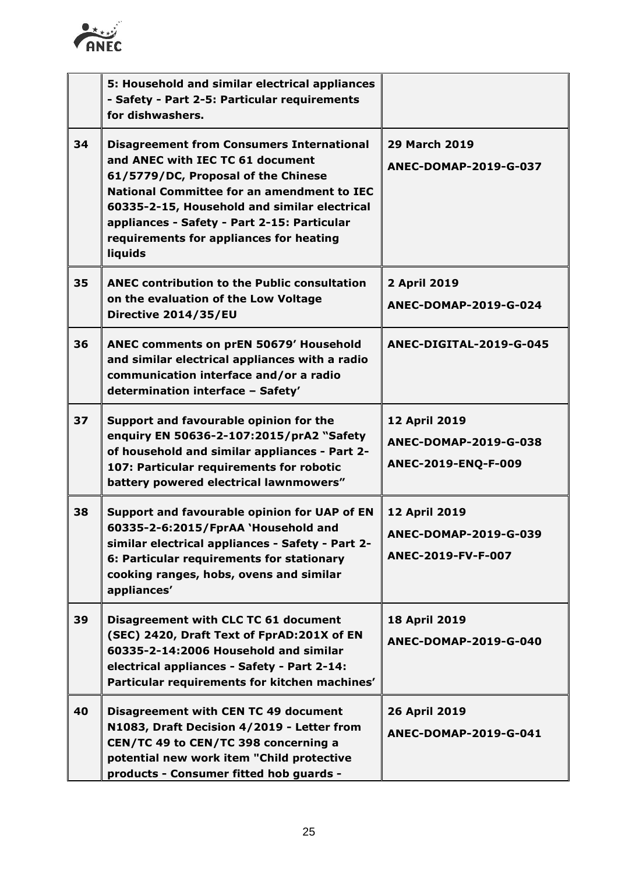

|    | 5: Household and similar electrical appliances<br>- Safety - Part 2-5: Particular requirements<br>for dishwashers.                                                                                                                                                                                                                    |                                                               |
|----|---------------------------------------------------------------------------------------------------------------------------------------------------------------------------------------------------------------------------------------------------------------------------------------------------------------------------------------|---------------------------------------------------------------|
| 34 | <b>Disagreement from Consumers International</b><br>and ANEC with IEC TC 61 document<br>61/5779/DC, Proposal of the Chinese<br><b>National Committee for an amendment to IEC</b><br>60335-2-15, Household and similar electrical<br>appliances - Safety - Part 2-15: Particular<br>requirements for appliances for heating<br>liquids | <b>29 March 2019</b><br>ANEC-DOMAP-2019-G-037                 |
| 35 | <b>ANEC contribution to the Public consultation</b><br>on the evaluation of the Low Voltage<br>Directive 2014/35/EU                                                                                                                                                                                                                   | 2 April 2019<br>ANEC-DOMAP-2019-G-024                         |
| 36 | ANEC comments on prEN 50679' Household<br>and similar electrical appliances with a radio<br>communication interface and/or a radio<br>determination interface - Safety'                                                                                                                                                               | ANEC-DIGITAL-2019-G-045                                       |
| 37 | Support and favourable opinion for the<br>enquiry EN 50636-2-107:2015/prA2 "Safety<br>of household and similar appliances - Part 2-<br>107: Particular requirements for robotic<br>battery powered electrical lawnmowers"                                                                                                             | 12 April 2019<br>ANEC-DOMAP-2019-G-038<br>ANEC-2019-ENQ-F-009 |
| 38 | Support and favourable opinion for UAP of EN<br>60335-2-6:2015/FprAA 'Household and<br>similar electrical appliances - Safety - Part 2-<br>6: Particular requirements for stationary<br>cooking ranges, hobs, ovens and similar<br>appliances'                                                                                        | 12 April 2019<br>ANEC-DOMAP-2019-G-039<br>ANEC-2019-FV-F-007  |
| 39 | Disagreement with CLC TC 61 document<br>(SEC) 2420, Draft Text of FprAD:201X of EN<br>60335-2-14:2006 Household and similar<br>electrical appliances - Safety - Part 2-14:<br>Particular requirements for kitchen machines'                                                                                                           | <b>18 April 2019</b><br>ANEC-DOMAP-2019-G-040                 |
| 40 | Disagreement with CEN TC 49 document<br>N1083, Draft Decision 4/2019 - Letter from<br>CEN/TC 49 to CEN/TC 398 concerning a<br>potential new work item "Child protective<br>products - Consumer fitted hob guards -                                                                                                                    | 26 April 2019<br>ANEC-DOMAP-2019-G-041                        |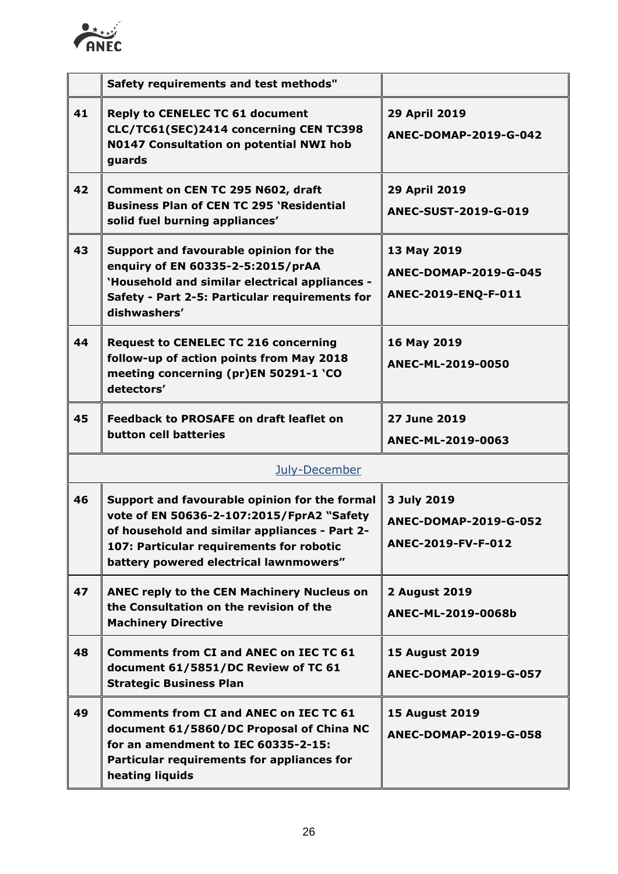

|    | Safety requirements and test methods"                                                                                                                                                                                             |                                                                   |  |
|----|-----------------------------------------------------------------------------------------------------------------------------------------------------------------------------------------------------------------------------------|-------------------------------------------------------------------|--|
|    |                                                                                                                                                                                                                                   |                                                                   |  |
| 41 | <b>Reply to CENELEC TC 61 document</b><br>CLC/TC61(SEC)2414 concerning CEN TC398<br>N0147 Consultation on potential NWI hob<br>guards                                                                                             | 29 April 2019<br>ANEC-DOMAP-2019-G-042                            |  |
| 42 | Comment on CEN TC 295 N602, draft<br><b>Business Plan of CEN TC 295 'Residential</b><br>solid fuel burning appliances'                                                                                                            | 29 April 2019<br>ANEC-SUST-2019-G-019                             |  |
| 43 | Support and favourable opinion for the<br>enquiry of EN 60335-2-5:2015/prAA<br>'Household and similar electrical appliances -<br>Safety - Part 2-5: Particular requirements for<br>dishwashers'                                   | 13 May 2019<br>ANEC-DOMAP-2019-G-045<br>ANEC-2019-ENQ-F-011       |  |
| 44 | <b>Request to CENELEC TC 216 concerning</b><br>follow-up of action points from May 2018<br>meeting concerning (pr)EN 50291-1 'CO<br>detectors'                                                                                    | 16 May 2019<br>ANEC-ML-2019-0050                                  |  |
| 45 | <b>Feedback to PROSAFE on draft leaflet on</b><br>button cell batteries                                                                                                                                                           | <b>27 June 2019</b><br>ANEC-ML-2019-0063                          |  |
|    | July-December                                                                                                                                                                                                                     |                                                                   |  |
| 46 | Support and favourable opinion for the formal<br>vote of EN 50636-2-107:2015/FprA2 "Safety<br>of household and similar appliances - Part 2-<br>107: Particular requirements for robotic<br>battery powered electrical lawnmowers" | 3 July 2019<br><b>ANEC-DOMAP-2019-G-052</b><br>ANEC-2019-FV-F-012 |  |
| 47 | ANEC reply to the CEN Machinery Nucleus on<br>the Consultation on the revision of the<br><b>Machinery Directive</b>                                                                                                               | <b>2 August 2019</b><br>ANEC-ML-2019-0068b                        |  |
| 48 | <b>Comments from CI and ANEC on IEC TC 61</b><br>document 61/5851/DC Review of TC 61<br><b>Strategic Business Plan</b>                                                                                                            | <b>15 August 2019</b><br>ANEC-DOMAP-2019-G-057                    |  |
| 49 | <b>Comments from CI and ANEC on IEC TC 61</b><br>document 61/5860/DC Proposal of China NC<br>for an amendment to IEC 60335-2-15:<br>Particular requirements for appliances for<br>heating liquids                                 | <b>15 August 2019</b><br>ANEC-DOMAP-2019-G-058                    |  |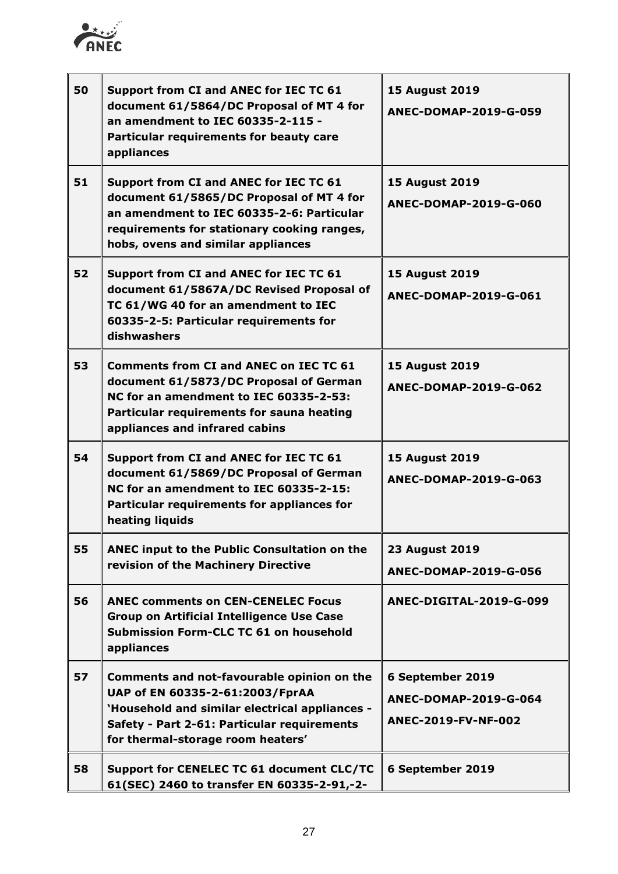

| 50 | Support from CI and ANEC for IEC TC 61<br>document 61/5864/DC Proposal of MT 4 for<br>an amendment to IEC 60335-2-115 -<br>Particular requirements for beauty care<br>appliances                                     | <b>15 August 2019</b><br>ANEC-DOMAP-2019-G-059                   |
|----|----------------------------------------------------------------------------------------------------------------------------------------------------------------------------------------------------------------------|------------------------------------------------------------------|
| 51 | Support from CI and ANEC for IEC TC 61<br>document 61/5865/DC Proposal of MT 4 for<br>an amendment to IEC 60335-2-6: Particular<br>requirements for stationary cooking ranges,<br>hobs, ovens and similar appliances | <b>15 August 2019</b><br>ANEC-DOMAP-2019-G-060                   |
| 52 | Support from CI and ANEC for IEC TC 61<br>document 61/5867A/DC Revised Proposal of<br>TC 61/WG 40 for an amendment to IEC<br>60335-2-5: Particular requirements for<br>dishwashers                                   | <b>15 August 2019</b><br><b>ANEC-DOMAP-2019-G-061</b>            |
| 53 | <b>Comments from CI and ANEC on IEC TC 61</b><br>document 61/5873/DC Proposal of German<br>NC for an amendment to IEC 60335-2-53:<br>Particular requirements for sauna heating<br>appliances and infrared cabins     | <b>15 August 2019</b><br>ANEC-DOMAP-2019-G-062                   |
| 54 | Support from CI and ANEC for IEC TC 61<br>document 61/5869/DC Proposal of German<br>NC for an amendment to IEC 60335-2-15:<br>Particular requirements for appliances for<br>heating liquids                          | <b>15 August 2019</b><br>ANEC-DOMAP-2019-G-063                   |
| 55 | ANEC input to the Public Consultation on the<br>revision of the Machinery Directive                                                                                                                                  | <b>23 August 2019</b><br>ANEC-DOMAP-2019-G-056                   |
| 56 | <b>ANEC comments on CEN-CENELEC Focus</b><br><b>Group on Artificial Intelligence Use Case</b><br>Submission Form-CLC TC 61 on household<br>appliances                                                                | ANEC-DIGITAL-2019-G-099                                          |
| 57 | Comments and not-favourable opinion on the<br>UAP of EN 60335-2-61:2003/FprAA<br>'Household and similar electrical appliances -<br>Safety - Part 2-61: Particular requirements<br>for thermal-storage room heaters'  | 6 September 2019<br>ANEC-DOMAP-2019-G-064<br>ANEC-2019-FV-NF-002 |
| 58 | Support for CENELEC TC 61 document CLC/TC<br>61(SEC) 2460 to transfer EN 60335-2-91,-2-                                                                                                                              | 6 September 2019                                                 |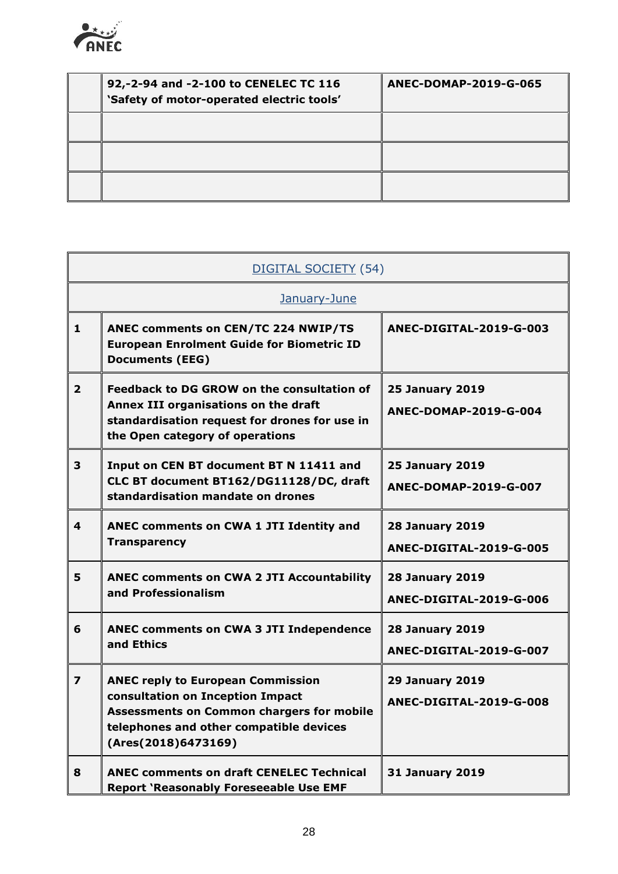

| 92,-2-94 and -2-100 to CENELEC TC 116<br>'Safety of motor-operated electric tools' | ANEC-DOMAP-2019-G-065 |
|------------------------------------------------------------------------------------|-----------------------|
|                                                                                    |                       |
|                                                                                    |                       |
|                                                                                    |                       |

|                         | DIGITAL SOCIETY (54)                                                                                                                                                                               |                                                   |  |
|-------------------------|----------------------------------------------------------------------------------------------------------------------------------------------------------------------------------------------------|---------------------------------------------------|--|
|                         | January-June                                                                                                                                                                                       |                                                   |  |
| $\mathbf{1}$            | <b>ANEC comments on CEN/TC 224 NWIP/TS</b><br><b>European Enrolment Guide for Biometric ID</b><br><b>Documents (EEG)</b>                                                                           | ANEC-DIGITAL-2019-G-003                           |  |
| $\overline{2}$          | Feedback to DG GROW on the consultation of<br>Annex III organisations on the draft<br>standardisation request for drones for use in<br>the Open category of operations                             | <b>25 January 2019</b><br>ANEC-DOMAP-2019-G-004   |  |
| 3                       | Input on CEN BT document BT N 11411 and<br>CLC BT document BT162/DG11128/DC, draft<br>standardisation mandate on drones                                                                            | <b>25 January 2019</b><br>ANEC-DOMAP-2019-G-007   |  |
| 4                       | ANEC comments on CWA 1 JTI Identity and<br><b>Transparency</b>                                                                                                                                     | <b>28 January 2019</b><br>ANEC-DIGITAL-2019-G-005 |  |
| 5                       | <b>ANEC comments on CWA 2 JTI Accountability</b><br>and Professionalism                                                                                                                            | <b>28 January 2019</b><br>ANEC-DIGITAL-2019-G-006 |  |
| 6                       | <b>ANEC comments on CWA 3 JTI Independence</b><br>and Ethics                                                                                                                                       | <b>28 January 2019</b><br>ANEC-DIGITAL-2019-G-007 |  |
| $\overline{\mathbf{z}}$ | <b>ANEC reply to European Commission</b><br>consultation on Inception Impact<br><b>Assessments on Common chargers for mobile</b><br>telephones and other compatible devices<br>(Ares(2018)6473169) | <b>29 January 2019</b><br>ANEC-DIGITAL-2019-G-008 |  |
| 8                       | <b>ANEC comments on draft CENELEC Technical</b><br><b>Report 'Reasonably Foreseeable Use EMF</b>                                                                                                   | <b>31 January 2019</b>                            |  |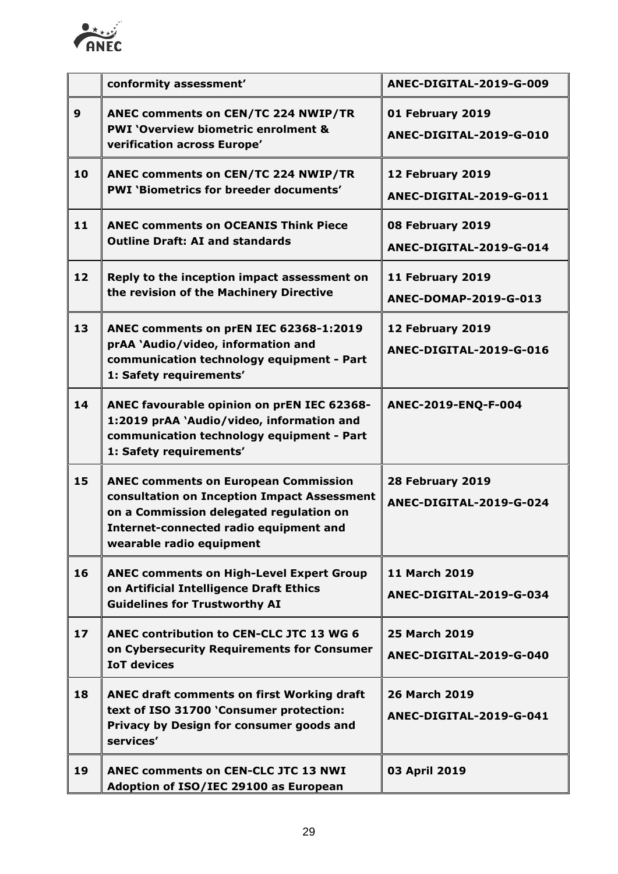

|                  | conformity assessment'                                                                                                                                                                                      | ANEC-DIGITAL-2019-G-009                         |
|------------------|-------------------------------------------------------------------------------------------------------------------------------------------------------------------------------------------------------------|-------------------------------------------------|
| $\boldsymbol{9}$ | ANEC comments on CEN/TC 224 NWIP/TR<br><b>PWI 'Overview biometric enrolment &amp;</b><br>verification across Europe'                                                                                        | 01 February 2019<br>ANEC-DIGITAL-2019-G-010     |
| 10               | ANEC comments on CEN/TC 224 NWIP/TR<br><b>PWI 'Biometrics for breeder documents'</b>                                                                                                                        | 12 February 2019<br>ANEC-DIGITAL-2019-G-011     |
| 11               | <b>ANEC comments on OCEANIS Think Piece</b><br><b>Outline Draft: AI and standards</b>                                                                                                                       | 08 February 2019<br>ANEC-DIGITAL-2019-G-014     |
| 12               | Reply to the inception impact assessment on<br>the revision of the Machinery Directive                                                                                                                      | 11 February 2019<br>ANEC-DOMAP-2019-G-013       |
| 13               | ANEC comments on prEN IEC 62368-1:2019<br>prAA 'Audio/video, information and<br>communication technology equipment - Part<br>1: Safety requirements'                                                        | 12 February 2019<br>ANEC-DIGITAL-2019-G-016     |
| 14               | ANEC favourable opinion on prEN IEC 62368-<br>1:2019 prAA `Audio/video, information and<br>communication technology equipment - Part<br>1: Safety requirements'                                             | ANEC-2019-ENQ-F-004                             |
| 15               | <b>ANEC comments on European Commission</b><br>consultation on Inception Impact Assessment<br>on a Commission delegated regulation on<br>Internet-connected radio equipment and<br>wearable radio equipment | 28 February 2019<br>ANEC-DIGITAL-2019-G-024     |
| 16               | <b>ANEC comments on High-Level Expert Group</b><br>on Artificial Intelligence Draft Ethics<br><b>Guidelines for Trustworthy AI</b>                                                                          | <b>11 March 2019</b><br>ANEC-DIGITAL-2019-G-034 |
| 17               | ANEC contribution to CEN-CLC JTC 13 WG 6<br>on Cybersecurity Requirements for Consumer<br><b>IoT devices</b>                                                                                                | <b>25 March 2019</b><br>ANEC-DIGITAL-2019-G-040 |
| 18               | ANEC draft comments on first Working draft<br>text of ISO 31700 'Consumer protection:<br>Privacy by Design for consumer goods and<br>services'                                                              | <b>26 March 2019</b><br>ANEC-DIGITAL-2019-G-041 |
| 19               | <b>ANEC comments on CEN-CLC JTC 13 NWI</b><br>Adoption of ISO/IEC 29100 as European                                                                                                                         | 03 April 2019                                   |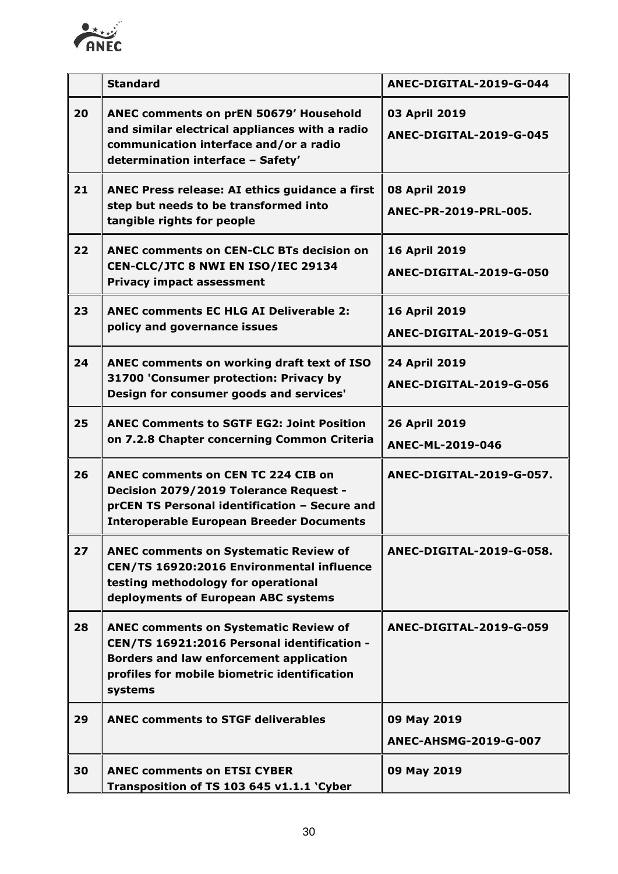

|    | <b>Standard</b>                                                                                                                                                                                          | ANEC-DIGITAL-2019-G-044                         |
|----|----------------------------------------------------------------------------------------------------------------------------------------------------------------------------------------------------------|-------------------------------------------------|
| 20 | ANEC comments on prEN 50679' Household<br>and similar electrical appliances with a radio<br>communication interface and/or a radio<br>determination interface - Safety'                                  | 03 April 2019<br>ANEC-DIGITAL-2019-G-045        |
| 21 | ANEC Press release: AI ethics guidance a first<br>step but needs to be transformed into<br>tangible rights for people                                                                                    | 08 April 2019<br>ANEC-PR-2019-PRL-005.          |
| 22 | <b>ANEC comments on CEN-CLC BTs decision on</b><br>CEN-CLC/JTC 8 NWI EN ISO/IEC 29134<br><b>Privacy impact assessment</b>                                                                                | <b>16 April 2019</b><br>ANEC-DIGITAL-2019-G-050 |
| 23 | <b>ANEC comments EC HLG AI Deliverable 2:</b><br>policy and governance issues                                                                                                                            | <b>16 April 2019</b><br>ANEC-DIGITAL-2019-G-051 |
| 24 | ANEC comments on working draft text of ISO<br>31700 'Consumer protection: Privacy by<br>Design for consumer goods and services'                                                                          | 24 April 2019<br>ANEC-DIGITAL-2019-G-056        |
| 25 | <b>ANEC Comments to SGTF EG2: Joint Position</b><br>on 7.2.8 Chapter concerning Common Criteria                                                                                                          | 26 April 2019<br>ANEC-ML-2019-046               |
| 26 | <b>ANEC comments on CEN TC 224 CIB on</b><br>Decision 2079/2019 Tolerance Request -<br>prCEN TS Personal identification - Secure and<br><b>Interoperable European Breeder Documents</b>                  | ANEC-DIGITAL-2019-G-057.                        |
| 27 | <b>ANEC comments on Systematic Review of</b><br>CEN/TS 16920:2016 Environmental influence<br>testing methodology for operational<br>deployments of European ABC systems                                  | ANEC-DIGITAL-2019-G-058.                        |
| 28 | <b>ANEC comments on Systematic Review of</b><br>CEN/TS 16921:2016 Personal identification -<br><b>Borders and law enforcement application</b><br>profiles for mobile biometric identification<br>systems | ANEC-DIGITAL-2019-G-059                         |
| 29 | <b>ANEC comments to STGF deliverables</b>                                                                                                                                                                | 09 May 2019<br><b>ANEC-AHSMG-2019-G-007</b>     |
| 30 | <b>ANEC comments on ETSI CYBER</b><br>Transposition of TS 103 645 v1.1.1 'Cyber                                                                                                                          | 09 May 2019                                     |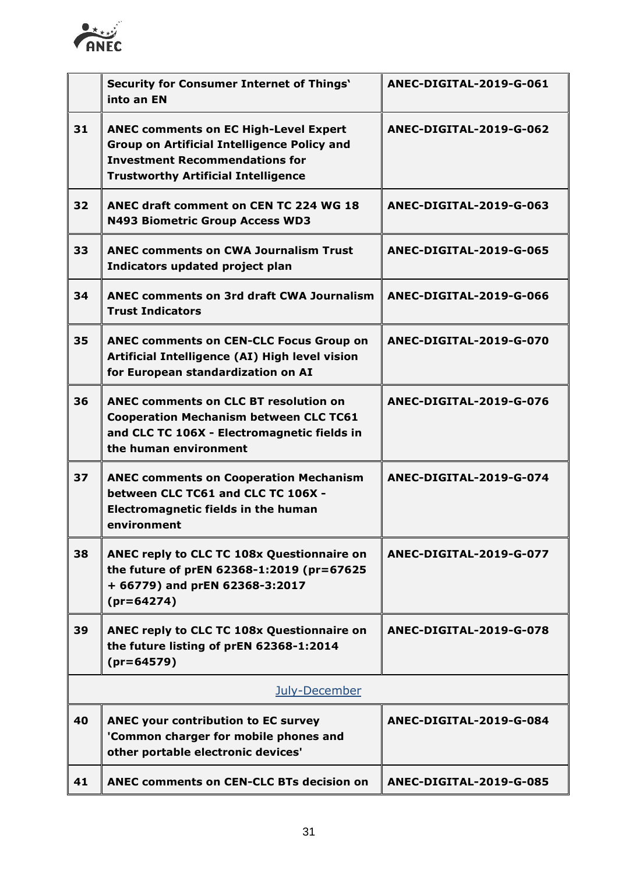

|    | <b>Security for Consumer Internet of Things'</b><br>into an EN                                                                                                                            | ANEC-DIGITAL-2019-G-061 |
|----|-------------------------------------------------------------------------------------------------------------------------------------------------------------------------------------------|-------------------------|
| 31 | <b>ANEC comments on EC High-Level Expert</b><br><b>Group on Artificial Intelligence Policy and</b><br><b>Investment Recommendations for</b><br><b>Trustworthy Artificial Intelligence</b> | ANEC-DIGITAL-2019-G-062 |
| 32 | ANEC draft comment on CEN TC 224 WG 18<br><b>N493 Biometric Group Access WD3</b>                                                                                                          | ANEC-DIGITAL-2019-G-063 |
| 33 | <b>ANEC comments on CWA Journalism Trust</b><br>Indicators updated project plan                                                                                                           | ANEC-DIGITAL-2019-G-065 |
| 34 | <b>ANEC comments on 3rd draft CWA Journalism</b><br><b>Trust Indicators</b>                                                                                                               | ANEC-DIGITAL-2019-G-066 |
| 35 | <b>ANEC comments on CEN-CLC Focus Group on</b><br>Artificial Intelligence (AI) High level vision<br>for European standardization on AI                                                    | ANEC-DIGITAL-2019-G-070 |
| 36 | <b>ANEC comments on CLC BT resolution on</b><br><b>Cooperation Mechanism between CLC TC61</b><br>and CLC TC 106X - Electromagnetic fields in<br>the human environment                     | ANEC-DIGITAL-2019-G-076 |
| 37 | <b>ANEC comments on Cooperation Mechanism</b><br>between CLC TC61 and CLC TC 106X -<br><b>Electromagnetic fields in the human</b><br>environment                                          | ANEC-DIGITAL-2019-G-074 |
| 38 | ANEC reply to CLC TC 108x Questionnaire on<br>the future of prEN 62368-1:2019 (pr=67625<br>+ 66779) and prEN 62368-3:2017<br>$(pr=64274)$                                                 | ANEC-DIGITAL-2019-G-077 |
| 39 | ANEC reply to CLC TC 108x Questionnaire on<br>the future listing of prEN 62368-1:2014<br>$(pr=64579)$                                                                                     | ANEC-DIGITAL-2019-G-078 |
|    | July-December                                                                                                                                                                             |                         |
| 40 | <b>ANEC your contribution to EC survey</b><br>'Common charger for mobile phones and<br>other portable electronic devices'                                                                 | ANEC-DIGITAL-2019-G-084 |
| 41 | <b>ANEC comments on CEN-CLC BTs decision on</b>                                                                                                                                           | ANEC-DIGITAL-2019-G-085 |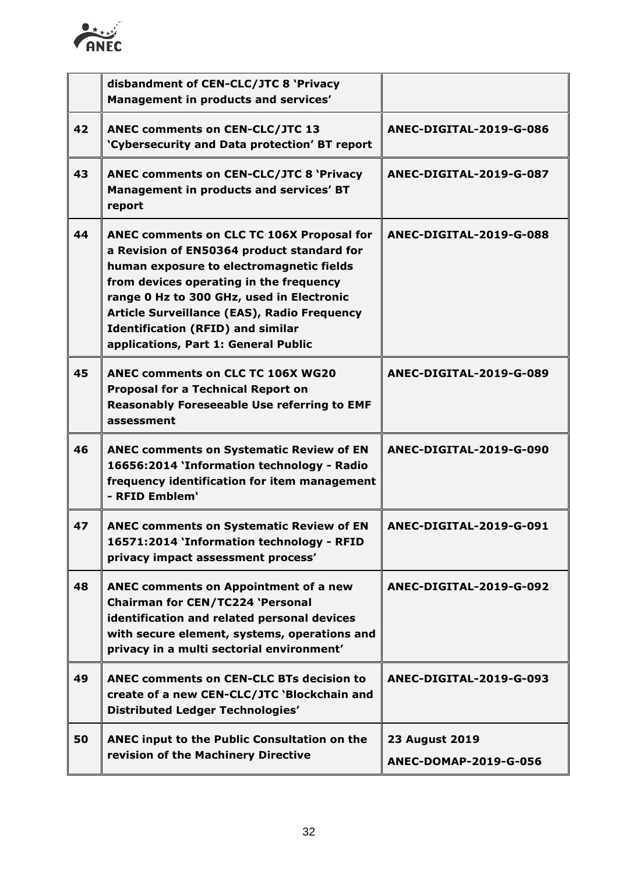

|    | disbandment of CEN-CLC/JTC 8 'Privacy<br>Management in products and services'                                                                                                                                                                                                                                                                                         |                                                |
|----|-----------------------------------------------------------------------------------------------------------------------------------------------------------------------------------------------------------------------------------------------------------------------------------------------------------------------------------------------------------------------|------------------------------------------------|
| 42 | <b>ANEC comments on CEN-CLC/JTC 13</b><br>'Cybersecurity and Data protection' BT report                                                                                                                                                                                                                                                                               | ANEC-DIGITAL-2019-G-086                        |
| 43 | <b>ANEC comments on CEN-CLC/JTC 8 'Privacy</b><br>Management in products and services' BT<br>report                                                                                                                                                                                                                                                                   | ANEC-DIGITAL-2019-G-087                        |
| 44 | ANEC comments on CLC TC 106X Proposal for<br>a Revision of EN50364 product standard for<br>human exposure to electromagnetic fields<br>from devices operating in the frequency<br>range 0 Hz to 300 GHz, used in Electronic<br><b>Article Surveillance (EAS), Radio Frequency</b><br><b>Identification (RFID) and similar</b><br>applications, Part 1: General Public | ANEC-DIGITAL-2019-G-088                        |
| 45 | <b>ANEC comments on CLC TC 106X WG20</b><br><b>Proposal for a Technical Report on</b><br><b>Reasonably Foreseeable Use referring to EMF</b><br>assessment                                                                                                                                                                                                             | ANEC-DIGITAL-2019-G-089                        |
| 46 | <b>ANEC comments on Systematic Review of EN</b><br>16656:2014 'Information technology - Radio<br>frequency identification for item management<br>- RFID Emblem'                                                                                                                                                                                                       | ANEC-DIGITAL-2019-G-090                        |
| 47 | <b>ANEC comments on Systematic Review of EN</b><br>16571:2014 'Information technology - RFID<br>privacy impact assessment process'                                                                                                                                                                                                                                    | ANEC-DIGITAL-2019-G-091                        |
| 48 | <b>ANEC comments on Appointment of a new</b><br><b>Chairman for CEN/TC224 'Personal</b><br>identification and related personal devices<br>with secure element, systems, operations and<br>privacy in a multi sectorial environment'                                                                                                                                   | ANEC-DIGITAL-2019-G-092                        |
| 49 | <b>ANEC comments on CEN-CLC BTs decision to</b><br>create of a new CEN-CLC/JTC 'Blockchain and<br><b>Distributed Ledger Technologies'</b>                                                                                                                                                                                                                             | ANEC-DIGITAL-2019-G-093                        |
| 50 | ANEC input to the Public Consultation on the<br>revision of the Machinery Directive                                                                                                                                                                                                                                                                                   | <b>23 August 2019</b><br>ANEC-DOMAP-2019-G-056 |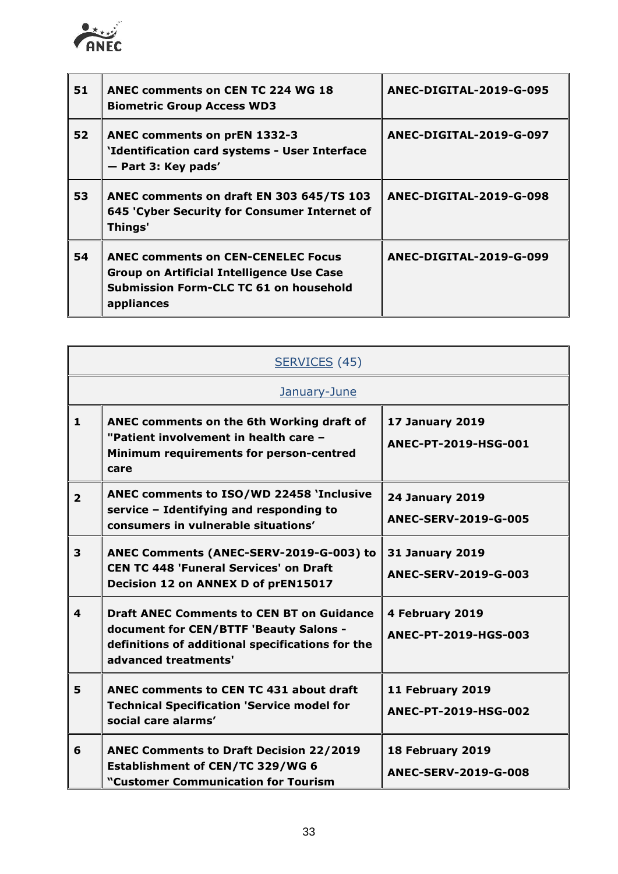

| 51 | ANEC comments on CEN TC 224 WG 18<br><b>Biometric Group Access WD3</b>                                                                                | ANEC-DIGITAL-2019-G-095 |
|----|-------------------------------------------------------------------------------------------------------------------------------------------------------|-------------------------|
| 52 | ANEC comments on prEN 1332-3<br>'Identification card systems - User Interface<br>- Part 3: Key pads'                                                  | ANEC-DIGITAL-2019-G-097 |
| 53 | ANEC comments on draft EN 303 645/TS 103<br>645 'Cyber Security for Consumer Internet of<br>Things'                                                   | ANEC-DIGITAL-2019-G-098 |
| 54 | <b>ANEC comments on CEN-CENELEC Focus</b><br><b>Group on Artificial Intelligence Use Case</b><br>Submission Form-CLC TC 61 on household<br>appliances | ANEC-DIGITAL-2019-G-099 |

|                | SERVICES (45)                                                                                                                                                          |                                                       |
|----------------|------------------------------------------------------------------------------------------------------------------------------------------------------------------------|-------------------------------------------------------|
| January-June   |                                                                                                                                                                        |                                                       |
| 1              | ANEC comments on the 6th Working draft of<br>"Patient involvement in health care -<br>Minimum requirements for person-centred<br>care                                  | <b>17 January 2019</b><br>ANEC-PT-2019-HSG-001        |
| $\overline{2}$ | ANEC comments to ISO/WD 22458 'Inclusive<br>service - Identifying and responding to<br>consumers in vulnerable situations'                                             | <b>24 January 2019</b><br><b>ANEC-SERV-2019-G-005</b> |
| 3              | ANEC Comments (ANEC-SERV-2019-G-003) to<br><b>CEN TC 448 'Funeral Services' on Draft</b><br>Decision 12 on ANNEX D of prEN15017                                        | <b>31 January 2019</b><br><b>ANEC-SERV-2019-G-003</b> |
| 4              | <b>Draft ANEC Comments to CEN BT on Guidance</b><br>document for CEN/BTTF 'Beauty Salons -<br>definitions of additional specifications for the<br>advanced treatments' | 4 February 2019<br>ANEC-PT-2019-HGS-003               |
| 5              | <b>ANEC comments to CEN TC 431 about draft</b><br><b>Technical Specification 'Service model for</b><br>social care alarms'                                             | 11 February 2019<br>ANEC-PT-2019-HSG-002              |
| 6              | <b>ANEC Comments to Draft Decision 22/2019</b><br>Establishment of CEN/TC 329/WG 6<br>"Customer Communication for Tourism                                              | 18 February 2019<br><b>ANEC-SERV-2019-G-008</b>       |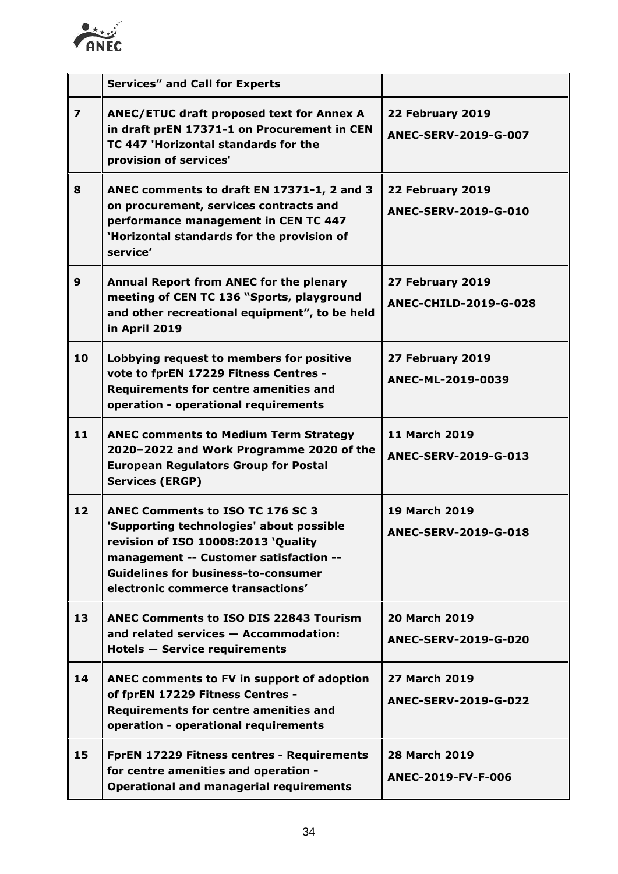

|                         | <b>Services" and Call for Experts</b>                                                                                                                                                                                                                   |                                                     |
|-------------------------|---------------------------------------------------------------------------------------------------------------------------------------------------------------------------------------------------------------------------------------------------------|-----------------------------------------------------|
| $\overline{\mathbf{z}}$ | ANEC/ETUC draft proposed text for Annex A<br>in draft prEN 17371-1 on Procurement in CEN<br>TC 447 'Horizontal standards for the<br>provision of services'                                                                                              | 22 February 2019<br>ANEC-SERV-2019-G-007            |
| 8                       | ANEC comments to draft EN 17371-1, 2 and 3<br>on procurement, services contracts and<br>performance management in CEN TC 447<br>'Horizontal standards for the provision of<br>service'                                                                  | 22 February 2019<br>ANEC-SERV-2019-G-010            |
| $\mathbf{9}$            | Annual Report from ANEC for the plenary<br>meeting of CEN TC 136 "Sports, playground<br>and other recreational equipment", to be held<br>in April 2019                                                                                                  | 27 February 2019<br>ANEC-CHILD-2019-G-028           |
| 10                      | Lobbying request to members for positive<br>vote to fprEN 17229 Fitness Centres -<br><b>Requirements for centre amenities and</b><br>operation - operational requirements                                                                               | 27 February 2019<br>ANEC-ML-2019-0039               |
| 11                      | <b>ANEC comments to Medium Term Strategy</b><br>2020-2022 and Work Programme 2020 of the<br><b>European Regulators Group for Postal</b><br><b>Services (ERGP)</b>                                                                                       | <b>11 March 2019</b><br>ANEC-SERV-2019-G-013        |
| 12                      | <b>ANEC Comments to ISO TC 176 SC 3</b><br>'Supporting technologies' about possible<br>revision of ISO 10008:2013 'Quality<br>management -- Customer satisfaction --<br><b>Guidelines for business-to-consumer</b><br>electronic commerce transactions' | <b>19 March 2019</b><br>ANEC-SERV-2019-G-018        |
| 13                      | <b>ANEC Comments to ISO DIS 22843 Tourism</b><br>and related services - Accommodation:<br><b>Hotels - Service requirements</b>                                                                                                                          | <b>20 March 2019</b><br><b>ANEC-SERV-2019-G-020</b> |
| 14                      | ANEC comments to FV in support of adoption<br>of fprEN 17229 Fitness Centres -<br><b>Requirements for centre amenities and</b><br>operation - operational requirements                                                                                  | <b>27 March 2019</b><br><b>ANEC-SERV-2019-G-022</b> |
| 15                      | FprEN 17229 Fitness centres - Requirements<br>for centre amenities and operation -<br><b>Operational and managerial requirements</b>                                                                                                                    | <b>28 March 2019</b><br>ANEC-2019-FV-F-006          |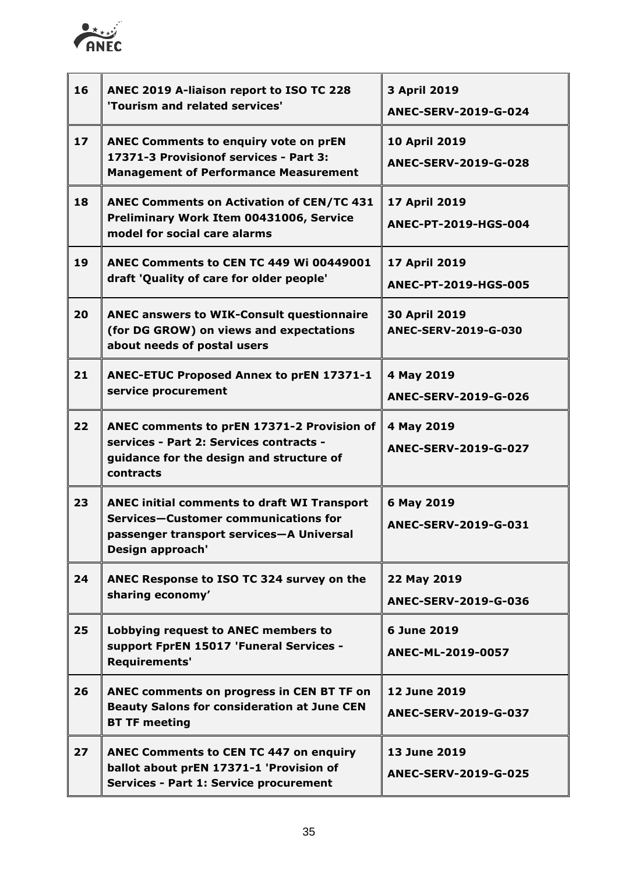

| 16 | ANEC 2019 A-liaison report to ISO TC 228<br>'Tourism and related services'                                                                                 | 3 April 2019<br>ANEC-SERV-2019-G-024        |
|----|------------------------------------------------------------------------------------------------------------------------------------------------------------|---------------------------------------------|
| 17 | ANEC Comments to enquiry vote on prEN<br>17371-3 Provisionof services - Part 3:<br><b>Management of Performance Measurement</b>                            | 10 April 2019<br>ANEC-SERV-2019-G-028       |
| 18 | <b>ANEC Comments on Activation of CEN/TC 431</b><br>Preliminary Work Item 00431006, Service<br>model for social care alarms                                | 17 April 2019<br>ANEC-PT-2019-HGS-004       |
| 19 | ANEC Comments to CEN TC 449 Wi 00449001<br>draft 'Quality of care for older people'                                                                        | 17 April 2019<br>ANEC-PT-2019-HGS-005       |
| 20 | <b>ANEC answers to WIK-Consult questionnaire</b><br>(for DG GROW) on views and expectations<br>about needs of postal users                                 | 30 April 2019<br>ANEC-SERV-2019-G-030       |
| 21 | ANEC-ETUC Proposed Annex to prEN 17371-1<br>service procurement                                                                                            | 4 May 2019<br>ANEC-SERV-2019-G-026          |
| 22 | ANEC comments to prEN 17371-2 Provision of<br>services - Part 2: Services contracts -<br>guidance for the design and structure of<br>contracts             | 4 May 2019<br>ANEC-SERV-2019-G-027          |
| 23 | <b>ANEC initial comments to draft WI Transport</b><br>Services-Customer communications for<br>passenger transport services-A Universal<br>Design approach' | 6 May 2019<br>ANEC-SERV-2019-G-031          |
| 24 | ANEC Response to ISO TC 324 survey on the<br>sharing economy'                                                                                              | 22 May 2019<br>ANEC-SERV-2019-G-036         |
| 25 | Lobbying request to ANEC members to<br>support FprEN 15017 'Funeral Services -<br>Requirements'                                                            | 6 June 2019<br>ANEC-ML-2019-0057            |
| 26 | ANEC comments on progress in CEN BT TF on<br><b>Beauty Salons for consideration at June CEN</b><br><b>BT TF meeting</b>                                    | 12 June 2019<br>ANEC-SERV-2019-G-037        |
| 27 | <b>ANEC Comments to CEN TC 447 on enquiry</b><br>ballot about prEN 17371-1 'Provision of<br><b>Services - Part 1: Service procurement</b>                  | 13 June 2019<br><b>ANEC-SERV-2019-G-025</b> |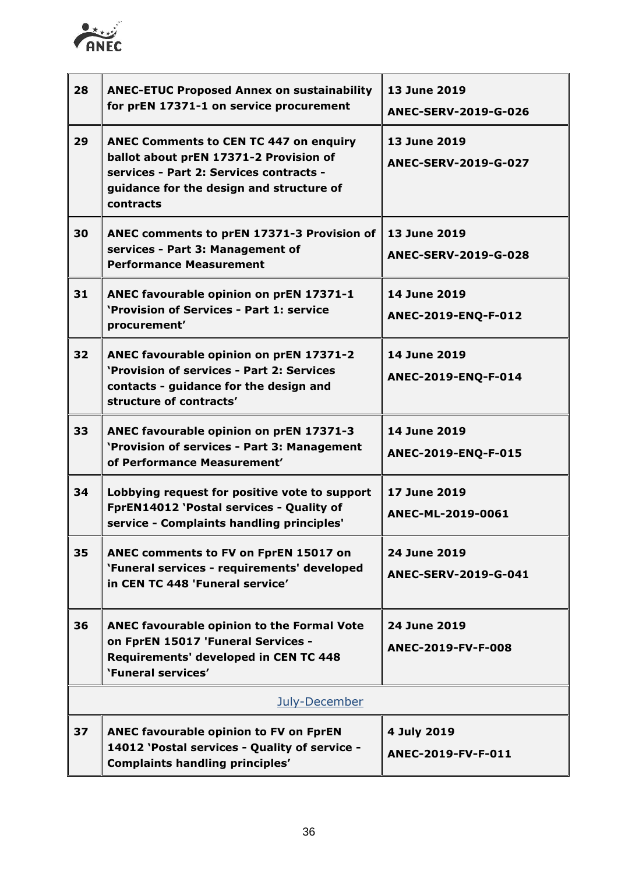

| 28 | <b>ANEC-ETUC Proposed Annex on sustainability</b><br>for prEN 17371-1 on service procurement                                                                                                | 13 June 2019<br><b>ANEC-SERV-2019-G-026</b> |
|----|---------------------------------------------------------------------------------------------------------------------------------------------------------------------------------------------|---------------------------------------------|
| 29 | <b>ANEC Comments to CEN TC 447 on enquiry</b><br>ballot about prEN 17371-2 Provision of<br>services - Part 2: Services contracts -<br>guidance for the design and structure of<br>contracts | 13 June 2019<br>ANEC-SERV-2019-G-027        |
| 30 | ANEC comments to prEN 17371-3 Provision of<br>services - Part 3: Management of<br><b>Performance Measurement</b>                                                                            | 13 June 2019<br><b>ANEC-SERV-2019-G-028</b> |
| 31 | ANEC favourable opinion on prEN 17371-1<br>'Provision of Services - Part 1: service<br>procurement'                                                                                         | 14 June 2019<br>ANEC-2019-ENQ-F-012         |
| 32 | ANEC favourable opinion on prEN 17371-2<br>'Provision of services - Part 2: Services<br>contacts - guidance for the design and<br>structure of contracts'                                   | 14 June 2019<br>ANEC-2019-ENQ-F-014         |
| 33 | ANEC favourable opinion on prEN 17371-3<br>'Provision of services - Part 3: Management<br>of Performance Measurement'                                                                       | 14 June 2019<br>ANEC-2019-ENQ-F-015         |
| 34 | Lobbying request for positive vote to support<br>FprEN14012 'Postal services - Quality of<br>service - Complaints handling principles'                                                      | 17 June 2019<br>ANEC-ML-2019-0061           |
| 35 | ANEC comments to FV on FprEN 15017 on<br>'Funeral services - requirements' developed<br>in CEN TC 448 'Funeral service'                                                                     | 24 June 2019<br><b>ANEC-SERV-2019-G-041</b> |
| 36 | ANEC favourable opinion to the Formal Vote<br>on FprEN 15017 'Funeral Services -<br>Requirements' developed in CEN TC 448<br>'Funeral services'                                             | 24 June 2019<br>ANEC-2019-FV-F-008          |
|    | July-December                                                                                                                                                                               |                                             |
| 37 | <b>ANEC favourable opinion to FV on FprEN</b><br>14012 'Postal services - Quality of service -<br><b>Complaints handling principles'</b>                                                    | 4 July 2019<br>ANEC-2019-FV-F-011           |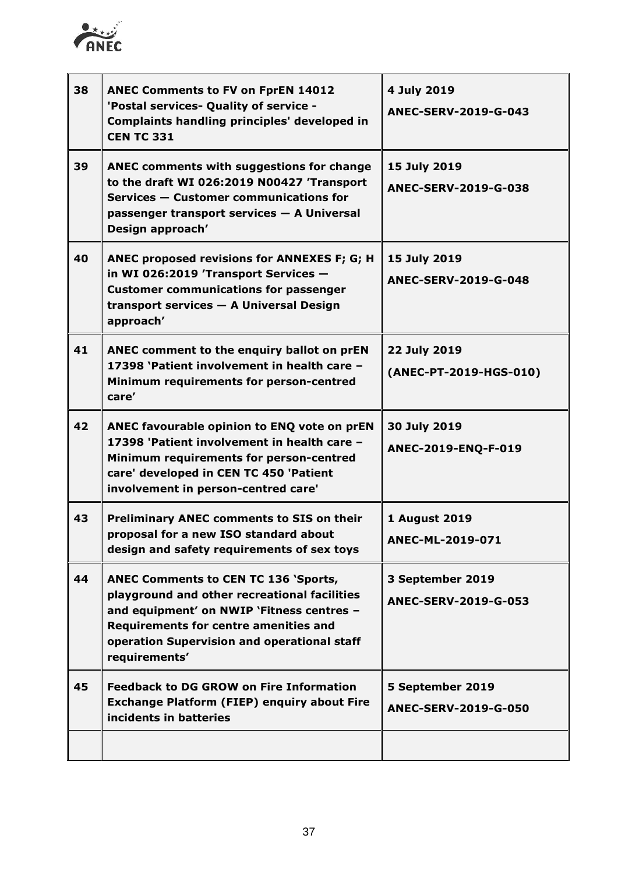

| 38 | <b>ANEC Comments to FV on FprEN 14012</b><br>'Postal services- Quality of service -<br>Complaints handling principles' developed in<br><b>CEN TC 331</b>                                                                                                 | 4 July 2019<br><b>ANEC-SERV-2019-G-043</b>      |
|----|----------------------------------------------------------------------------------------------------------------------------------------------------------------------------------------------------------------------------------------------------------|-------------------------------------------------|
| 39 | <b>ANEC comments with suggestions for change</b><br>to the draft WI 026:2019 N00427 'Transport<br>Services - Customer communications for<br>passenger transport services - A Universal<br>Design approach'                                               | 15 July 2019<br><b>ANEC-SERV-2019-G-038</b>     |
| 40 | ANEC proposed revisions for ANNEXES F; G; H<br>in WI 026:2019 'Transport Services -<br><b>Customer communications for passenger</b><br>transport services - A Universal Design<br>approach'                                                              | 15 July 2019<br><b>ANEC-SERV-2019-G-048</b>     |
| 41 | ANEC comment to the enquiry ballot on prEN<br>17398 'Patient involvement in health care -<br>Minimum requirements for person-centred<br>care'                                                                                                            | 22 July 2019<br>(ANEC-PT-2019-HGS-010)          |
| 42 | ANEC favourable opinion to ENQ vote on prEN<br>17398 'Patient involvement in health care -<br>Minimum requirements for person-centred<br>care' developed in CEN TC 450 'Patient<br>involvement in person-centred care'                                   | 30 July 2019<br>ANEC-2019-ENQ-F-019             |
| 43 | Preliminary ANEC comments to SIS on their<br>proposal for a new ISO standard about<br>design and safety requirements of sex toys                                                                                                                         | <b>1 August 2019</b><br>ANEC-ML-2019-071        |
| 44 | <b>ANEC Comments to CEN TC 136 'Sports,</b><br>playground and other recreational facilities<br>and equipment' on NWIP 'Fitness centres -<br><b>Requirements for centre amenities and</b><br>operation Supervision and operational staff<br>requirements' | 3 September 2019<br><b>ANEC-SERV-2019-G-053</b> |
| 45 | <b>Feedback to DG GROW on Fire Information</b><br><b>Exchange Platform (FIEP) enquiry about Fire</b><br>incidents in batteries                                                                                                                           | 5 September 2019<br>ANEC-SERV-2019-G-050        |
|    |                                                                                                                                                                                                                                                          |                                                 |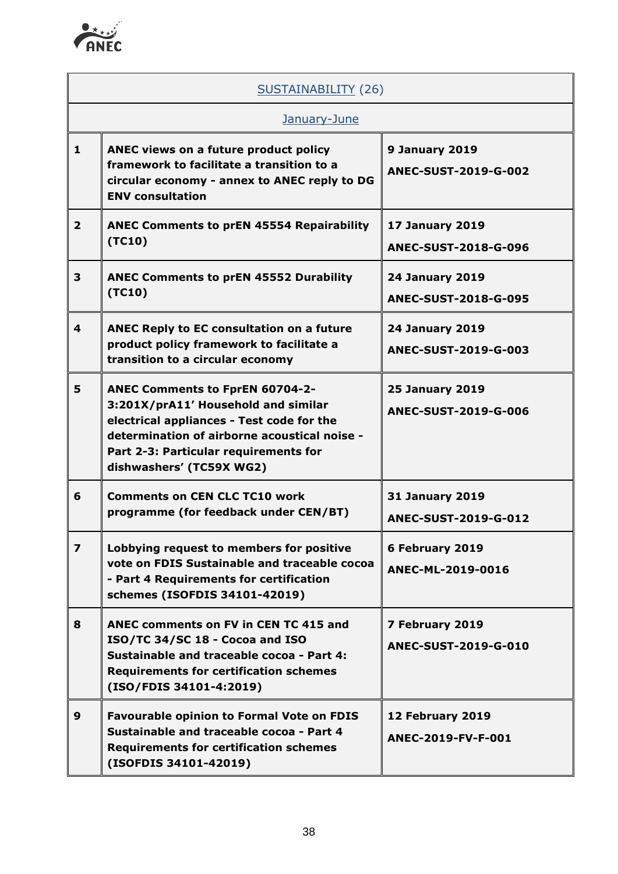

|                         | SUSTAINABILITY (26)                                                                                                                                                                                                                             |                                                       |  |
|-------------------------|-------------------------------------------------------------------------------------------------------------------------------------------------------------------------------------------------------------------------------------------------|-------------------------------------------------------|--|
| January-June            |                                                                                                                                                                                                                                                 |                                                       |  |
| $\mathbf{1}$            | ANEC views on a future product policy<br>framework to facilitate a transition to a<br>circular economy - annex to ANEC reply to DG<br><b>ENV consultation</b>                                                                                   | 9 January 2019<br>ANEC-SUST-2019-G-002                |  |
| $\overline{2}$          | <b>ANEC Comments to prEN 45554 Repairability</b><br>(TC10)                                                                                                                                                                                      | <b>17 January 2019</b><br><b>ANEC-SUST-2018-G-096</b> |  |
| 3                       | <b>ANEC Comments to prEN 45552 Durability</b><br>(TC10)                                                                                                                                                                                         | <b>24 January 2019</b><br><b>ANEC-SUST-2018-G-095</b> |  |
| 4                       | ANEC Reply to EC consultation on a future<br>product policy framework to facilitate a<br>transition to a circular economy                                                                                                                       | <b>24 January 2019</b><br>ANEC-SUST-2019-G-003        |  |
| 5                       | <b>ANEC Comments to FprEN 60704-2-</b><br>3:201X/prA11' Household and similar<br>electrical appliances - Test code for the<br>determination of airborne acoustical noise -<br>Part 2-3: Particular requirements for<br>dishwashers' (TC59X WG2) | <b>25 January 2019</b><br>ANEC-SUST-2019-G-006        |  |
| 6                       | <b>Comments on CEN CLC TC10 work</b><br>programme (for feedback under CEN/BT)                                                                                                                                                                   | <b>31 January 2019</b><br><b>ANEC-SUST-2019-G-012</b> |  |
| $\overline{\mathbf{z}}$ | Lobbying request to members for positive<br>vote on FDIS Sustainable and traceable cocoa<br>- Part 4 Requirements for certification<br>schemes (ISOFDIS 34101-42019)                                                                            | 6 February 2019<br>ANEC-ML-2019-0016                  |  |
| 8                       | ANEC comments on FV in CEN TC 415 and<br>ISO/TC 34/SC 18 - Cocoa and ISO<br>Sustainable and traceable cocoa - Part 4:<br><b>Requirements for certification schemes</b><br>(ISO/FDIS 34101-4:2019)                                               | 7 February 2019<br>ANEC-SUST-2019-G-010               |  |
| 9                       | <b>Favourable opinion to Formal Vote on FDIS</b><br>Sustainable and traceable cocoa - Part 4<br><b>Requirements for certification schemes</b><br>(ISOFDIS 34101-42019)                                                                          | 12 February 2019<br>ANEC-2019-FV-F-001                |  |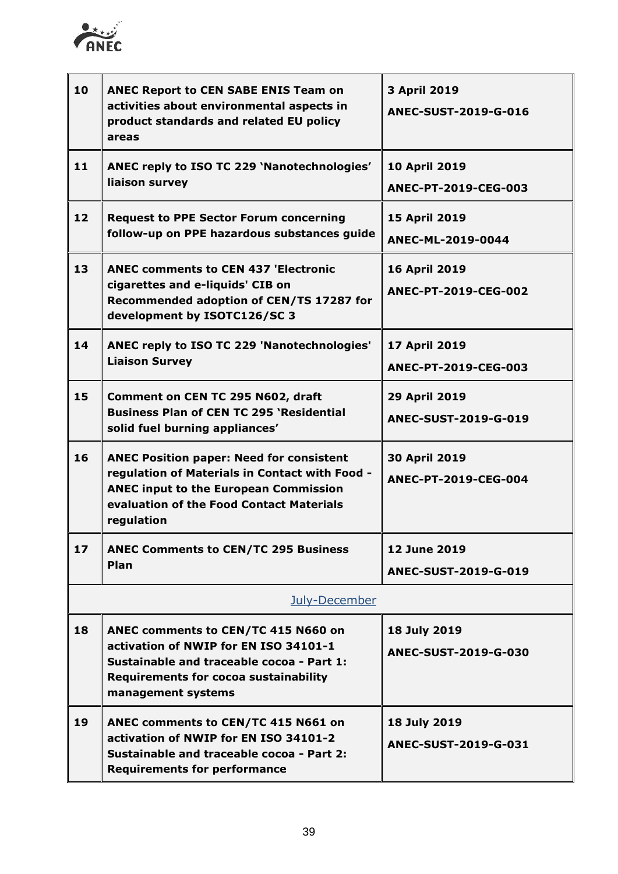

| 10 | <b>ANEC Report to CEN SABE ENIS Team on</b><br>activities about environmental aspects in<br>product standards and related EU policy<br>areas                                                                | 3 April 2019<br><b>ANEC-SUST-2019-G-016</b>  |
|----|-------------------------------------------------------------------------------------------------------------------------------------------------------------------------------------------------------------|----------------------------------------------|
| 11 | ANEC reply to ISO TC 229 'Nanotechnologies'<br>liaison survey                                                                                                                                               | <b>10 April 2019</b><br>ANEC-PT-2019-CEG-003 |
| 12 | <b>Request to PPE Sector Forum concerning</b><br>follow-up on PPE hazardous substances guide                                                                                                                | 15 April 2019<br>ANEC-ML-2019-0044           |
| 13 | <b>ANEC comments to CEN 437 'Electronic</b><br>cigarettes and e-liquids' CIB on<br>Recommended adoption of CEN/TS 17287 for<br>development by ISOTC126/SC 3                                                 | 16 April 2019<br>ANEC-PT-2019-CEG-002        |
| 14 | ANEC reply to ISO TC 229 'Nanotechnologies'<br><b>Liaison Survey</b>                                                                                                                                        | 17 April 2019<br>ANEC-PT-2019-CEG-003        |
| 15 | Comment on CEN TC 295 N602, draft<br><b>Business Plan of CEN TC 295 'Residential</b><br>solid fuel burning appliances'                                                                                      | 29 April 2019<br>ANEC-SUST-2019-G-019        |
| 16 | <b>ANEC Position paper: Need for consistent</b><br>regulation of Materials in Contact with Food -<br><b>ANEC input to the European Commission</b><br>evaluation of the Food Contact Materials<br>regulation | 30 April 2019<br>ANEC-PT-2019-CEG-004        |
| 17 | <b>ANEC Comments to CEN/TC 295 Business</b><br>Plan                                                                                                                                                         | 12 June 2019<br>ANEC-SUST-2019-G-019         |
|    | July-December                                                                                                                                                                                               |                                              |
| 18 | ANEC comments to CEN/TC 415 N660 on<br>activation of NWIP for EN ISO 34101-1<br>Sustainable and traceable cocoa - Part 1:<br><b>Requirements for cocoa sustainability</b><br>management systems             | 18 July 2019<br>ANEC-SUST-2019-G-030         |
| 19 | ANEC comments to CEN/TC 415 N661 on<br>activation of NWIP for EN ISO 34101-2<br>Sustainable and traceable cocoa - Part 2:<br><b>Requirements for performance</b>                                            | 18 July 2019<br>ANEC-SUST-2019-G-031         |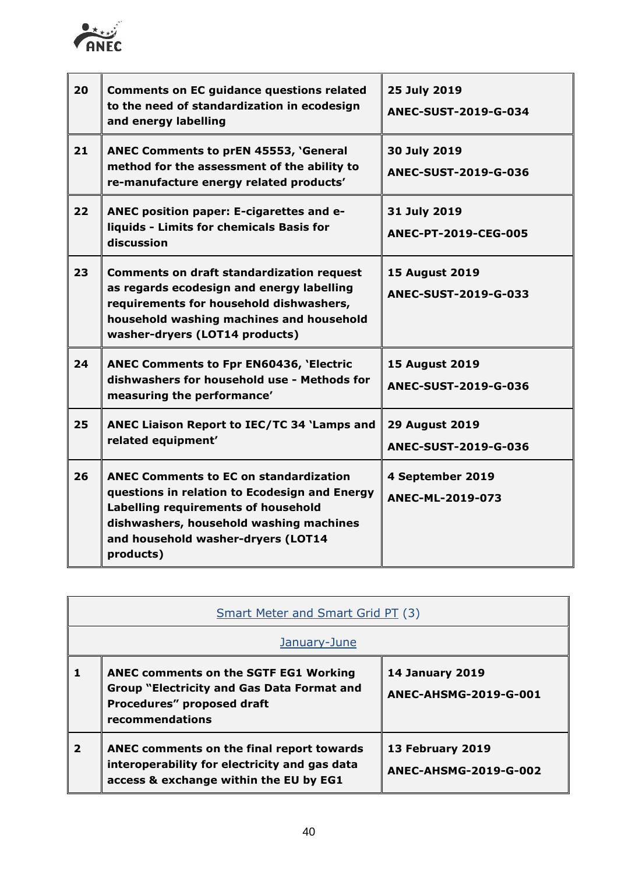

| 20 | <b>Comments on EC guidance questions related</b><br>to the need of standardization in ecodesign<br>and energy labelling                                                                                                             | 25 July 2019<br>ANEC-SUST-2019-G-034                 |
|----|-------------------------------------------------------------------------------------------------------------------------------------------------------------------------------------------------------------------------------------|------------------------------------------------------|
| 21 | <b>ANEC Comments to prEN 45553, 'General</b><br>method for the assessment of the ability to<br>re-manufacture energy related products'                                                                                              | 30 July 2019<br>ANEC-SUST-2019-G-036                 |
| 22 | ANEC position paper: E-cigarettes and e-<br>liquids - Limits for chemicals Basis for<br>discussion                                                                                                                                  | 31 July 2019<br>ANEC-PT-2019-CEG-005                 |
| 23 | <b>Comments on draft standardization request</b><br>as regards ecodesign and energy labelling<br>requirements for household dishwashers,<br>household washing machines and household<br>washer-dryers (LOT14 products)              | <b>15 August 2019</b><br><b>ANEC-SUST-2019-G-033</b> |
| 24 | <b>ANEC Comments to Fpr EN60436, 'Electric</b><br>dishwashers for household use - Methods for<br>measuring the performance'                                                                                                         | <b>15 August 2019</b><br>ANEC-SUST-2019-G-036        |
| 25 | ANEC Liaison Report to IEC/TC 34 'Lamps and<br>related equipment'                                                                                                                                                                   | <b>29 August 2019</b><br>ANEC-SUST-2019-G-036        |
| 26 | <b>ANEC Comments to EC on standardization</b><br>questions in relation to Ecodesign and Energy<br>Labelling requirements of household<br>dishwashers, household washing machines<br>and household washer-dryers (LOT14<br>products) | 4 September 2019<br>ANEC-ML-2019-073                 |

| <b>Smart Meter and Smart Grid PT (3)</b> |                                                                                                                                                    |                                                        |
|------------------------------------------|----------------------------------------------------------------------------------------------------------------------------------------------------|--------------------------------------------------------|
| January-June                             |                                                                                                                                                    |                                                        |
|                                          | <b>ANEC comments on the SGTF EG1 Working</b><br><b>Group "Electricity and Gas Data Format and</b><br>Procedures" proposed draft<br>recommendations | <b>14 January 2019</b><br><b>ANEC-AHSMG-2019-G-001</b> |
| $\mathbf{2}$                             | ANEC comments on the final report towards<br>interoperability for electricity and gas data<br>access & exchange within the EU by EG1               | 13 February 2019<br>ANEC-AHSMG-2019-G-002              |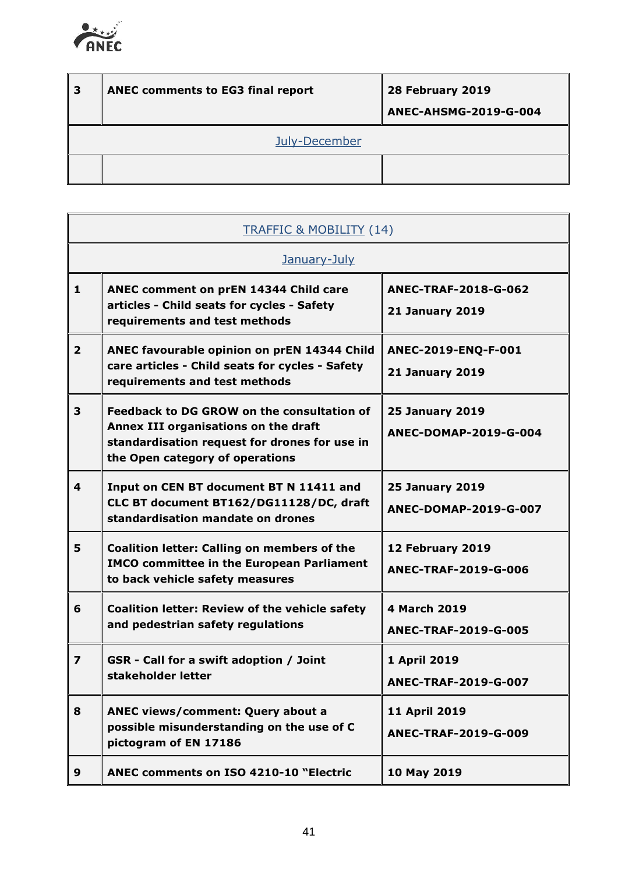

| 3 | <b>ANEC comments to EG3 final report</b> | 28 February 2019<br><b>ANEC-AHSMG-2019-G-004</b> |
|---|------------------------------------------|--------------------------------------------------|
|   | July-December                            |                                                  |
|   |                                          |                                                  |

| <b>TRAFFIC &amp; MOBILITY (14)</b> |                                                                                                                                                                               |                                                 |  |
|------------------------------------|-------------------------------------------------------------------------------------------------------------------------------------------------------------------------------|-------------------------------------------------|--|
|                                    | January-July                                                                                                                                                                  |                                                 |  |
| $\mathbf{1}$                       | ANEC comment on prEN 14344 Child care<br>articles - Child seats for cycles - Safety<br>requirements and test methods                                                          | ANEC-TRAF-2018-G-062<br><b>21 January 2019</b>  |  |
| $\overline{2}$                     | ANEC favourable opinion on prEN 14344 Child<br>care articles - Child seats for cycles - Safety<br>requirements and test methods                                               | ANEC-2019-ENQ-F-001<br><b>21 January 2019</b>   |  |
| 3                                  | <b>Feedback to DG GROW on the consultation of</b><br>Annex III organisations on the draft<br>standardisation request for drones for use in<br>the Open category of operations | <b>25 January 2019</b><br>ANEC-DOMAP-2019-G-004 |  |
| 4                                  | Input on CEN BT document BT N 11411 and<br>CLC BT document BT162/DG11128/DC, draft<br>standardisation mandate on drones                                                       | <b>25 January 2019</b><br>ANEC-DOMAP-2019-G-007 |  |
| 5                                  | <b>Coalition letter: Calling on members of the</b><br><b>IMCO committee in the European Parliament</b><br>to back vehicle safety measures                                     | 12 February 2019<br>ANEC-TRAF-2019-G-006        |  |
| 6                                  | <b>Coalition letter: Review of the vehicle safety</b><br>and pedestrian safety regulations                                                                                    | 4 March 2019<br><b>ANEC-TRAF-2019-G-005</b>     |  |
| $\overline{\mathbf{z}}$            | GSR - Call for a swift adoption / Joint<br>stakeholder letter                                                                                                                 | 1 April 2019<br>ANEC-TRAF-2019-G-007            |  |
| 8                                  | ANEC views/comment: Query about a<br>possible misunderstanding on the use of C<br>pictogram of EN 17186                                                                       | 11 April 2019<br>ANEC-TRAF-2019-G-009           |  |
| 9                                  | <b>ANEC comments on ISO 4210-10 "Electric</b>                                                                                                                                 | 10 May 2019                                     |  |